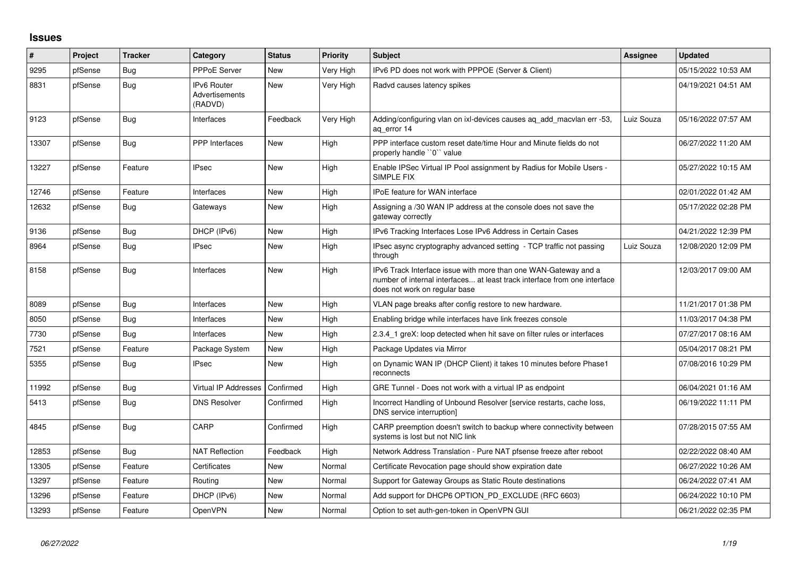## **Issues**

| #     | Project | <b>Tracker</b> | Category                                 | <b>Status</b> | Priority  | <b>Subject</b>                                                                                                                                                                | <b>Assignee</b> | <b>Updated</b>      |
|-------|---------|----------------|------------------------------------------|---------------|-----------|-------------------------------------------------------------------------------------------------------------------------------------------------------------------------------|-----------------|---------------------|
| 9295  | pfSense | Bug            | <b>PPPoE Server</b>                      | <b>New</b>    | Very High | IPv6 PD does not work with PPPOE (Server & Client)                                                                                                                            |                 | 05/15/2022 10:53 AM |
| 8831  | pfSense | Bug            | IPv6 Router<br>Advertisements<br>(RADVD) | New           | Very High | Radvd causes latency spikes                                                                                                                                                   |                 | 04/19/2021 04:51 AM |
| 9123  | pfSense | Bug            | Interfaces                               | Feedback      | Very High | Adding/configuring vlan on ixl-devices causes aq_add_macvlan err -53,<br>aq_error 14                                                                                          | Luiz Souza      | 05/16/2022 07:57 AM |
| 13307 | pfSense | Bug            | <b>PPP</b> Interfaces                    | <b>New</b>    | High      | PPP interface custom reset date/time Hour and Minute fields do not<br>properly handle "0" value                                                                               |                 | 06/27/2022 11:20 AM |
| 13227 | pfSense | Feature        | <b>IPsec</b>                             | <b>New</b>    | High      | Enable IPSec Virtual IP Pool assignment by Radius for Mobile Users -<br>SIMPLE FIX                                                                                            |                 | 05/27/2022 10:15 AM |
| 12746 | pfSense | Feature        | Interfaces                               | <b>New</b>    | High      | <b>IPoE</b> feature for WAN interface                                                                                                                                         |                 | 02/01/2022 01:42 AM |
| 12632 | pfSense | Bug            | Gateways                                 | <b>New</b>    | High      | Assigning a /30 WAN IP address at the console does not save the<br>gateway correctly                                                                                          |                 | 05/17/2022 02:28 PM |
| 9136  | pfSense | Bug            | DHCP (IPv6)                              | New           | High      | IPv6 Tracking Interfaces Lose IPv6 Address in Certain Cases                                                                                                                   |                 | 04/21/2022 12:39 PM |
| 8964  | pfSense | Bug            | <b>IPsec</b>                             | <b>New</b>    | High      | IPsec async cryptography advanced setting - TCP traffic not passing<br>through                                                                                                | Luiz Souza      | 12/08/2020 12:09 PM |
| 8158  | pfSense | Bug            | Interfaces                               | <b>New</b>    | High      | IPv6 Track Interface issue with more than one WAN-Gateway and a<br>number of internal interfaces at least track interface from one interface<br>does not work on regular base |                 | 12/03/2017 09:00 AM |
| 8089  | pfSense | <b>Bug</b>     | Interfaces                               | <b>New</b>    | High      | VLAN page breaks after config restore to new hardware.                                                                                                                        |                 | 11/21/2017 01:38 PM |
| 8050  | pfSense | Bug            | Interfaces                               | <b>New</b>    | High      | Enabling bridge while interfaces have link freezes console                                                                                                                    |                 | 11/03/2017 04:38 PM |
| 7730  | pfSense | Bug            | Interfaces                               | <b>New</b>    | High      | 2.3.4 1 greX: loop detected when hit save on filter rules or interfaces                                                                                                       |                 | 07/27/2017 08:16 AM |
| 7521  | pfSense | Feature        | Package System                           | New           | High      | Package Updates via Mirror                                                                                                                                                    |                 | 05/04/2017 08:21 PM |
| 5355  | pfSense | Bug            | <b>IPsec</b>                             | <b>New</b>    | High      | on Dynamic WAN IP (DHCP Client) it takes 10 minutes before Phase1<br>reconnects                                                                                               |                 | 07/08/2016 10:29 PM |
| 11992 | pfSense | Bug            | Virtual IP Addresses                     | Confirmed     | High      | GRE Tunnel - Does not work with a virtual IP as endpoint                                                                                                                      |                 | 06/04/2021 01:16 AM |
| 5413  | pfSense | Bug            | <b>DNS Resolver</b>                      | Confirmed     | High      | Incorrect Handling of Unbound Resolver [service restarts, cache loss,<br>DNS service interruption]                                                                            |                 | 06/19/2022 11:11 PM |
| 4845  | pfSense | Bug            | CARP                                     | Confirmed     | High      | CARP preemption doesn't switch to backup where connectivity between<br>systems is lost but not NIC link                                                                       |                 | 07/28/2015 07:55 AM |
| 12853 | pfSense | Bug            | <b>NAT Reflection</b>                    | Feedback      | High      | Network Address Translation - Pure NAT pfsense freeze after reboot                                                                                                            |                 | 02/22/2022 08:40 AM |
| 13305 | pfSense | Feature        | Certificates                             | New           | Normal    | Certificate Revocation page should show expiration date                                                                                                                       |                 | 06/27/2022 10:26 AM |
| 13297 | pfSense | Feature        | Routing                                  | <b>New</b>    | Normal    | Support for Gateway Groups as Static Route destinations                                                                                                                       |                 | 06/24/2022 07:41 AM |
| 13296 | pfSense | Feature        | DHCP (IPv6)                              | <b>New</b>    | Normal    | Add support for DHCP6 OPTION_PD_EXCLUDE (RFC 6603)                                                                                                                            |                 | 06/24/2022 10:10 PM |
| 13293 | pfSense | Feature        | <b>OpenVPN</b>                           | <b>New</b>    | Normal    | Option to set auth-gen-token in OpenVPN GUI                                                                                                                                   |                 | 06/21/2022 02:35 PM |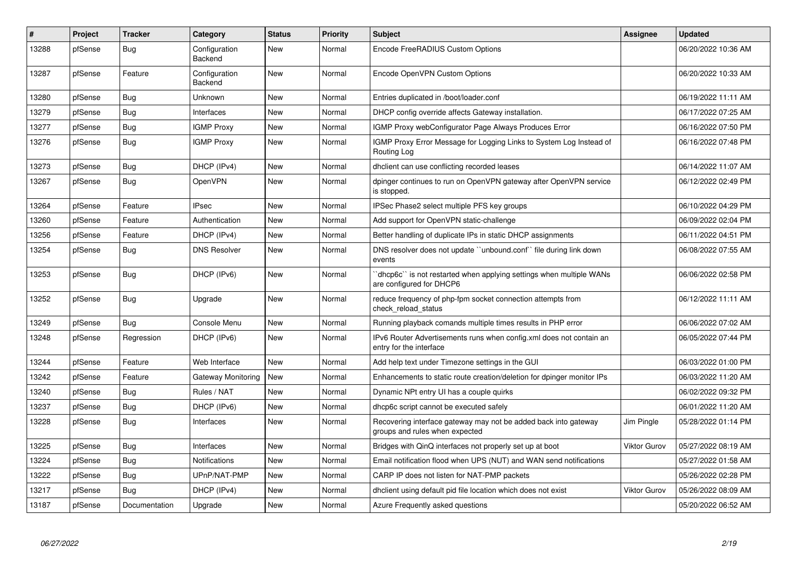| $\#$  | Project | <b>Tracker</b> | Category                 | <b>Status</b> | <b>Priority</b> | <b>Subject</b>                                                                                    | Assignee            | <b>Updated</b>      |
|-------|---------|----------------|--------------------------|---------------|-----------------|---------------------------------------------------------------------------------------------------|---------------------|---------------------|
| 13288 | pfSense | Bug            | Configuration<br>Backend | <b>New</b>    | Normal          | Encode FreeRADIUS Custom Options                                                                  |                     | 06/20/2022 10:36 AM |
| 13287 | pfSense | Feature        | Configuration<br>Backend | New           | Normal          | Encode OpenVPN Custom Options                                                                     |                     | 06/20/2022 10:33 AM |
| 13280 | pfSense | Bug            | Unknown                  | New           | Normal          | Entries duplicated in /boot/loader.conf                                                           |                     | 06/19/2022 11:11 AM |
| 13279 | pfSense | <b>Bug</b>     | Interfaces               | New           | Normal          | DHCP config override affects Gateway installation.                                                |                     | 06/17/2022 07:25 AM |
| 13277 | pfSense | <b>Bug</b>     | <b>IGMP Proxy</b>        | New           | Normal          | <b>IGMP Proxy webConfigurator Page Always Produces Error</b>                                      |                     | 06/16/2022 07:50 PM |
| 13276 | pfSense | Bug            | <b>IGMP Proxy</b>        | <b>New</b>    | Normal          | IGMP Proxy Error Message for Logging Links to System Log Instead of<br>Routing Log                |                     | 06/16/2022 07:48 PM |
| 13273 | pfSense | <b>Bug</b>     | DHCP (IPv4)              | <b>New</b>    | Normal          | dhclient can use conflicting recorded leases                                                      |                     | 06/14/2022 11:07 AM |
| 13267 | pfSense | Bug            | OpenVPN                  | <b>New</b>    | Normal          | dpinger continues to run on OpenVPN gateway after OpenVPN service<br>is stopped.                  |                     | 06/12/2022 02:49 PM |
| 13264 | pfSense | Feature        | <b>IPsec</b>             | <b>New</b>    | Normal          | IPSec Phase2 select multiple PFS key groups                                                       |                     | 06/10/2022 04:29 PM |
| 13260 | pfSense | Feature        | Authentication           | <b>New</b>    | Normal          | Add support for OpenVPN static-challenge                                                          |                     | 06/09/2022 02:04 PM |
| 13256 | pfSense | Feature        | DHCP (IPv4)              | New           | Normal          | Better handling of duplicate IPs in static DHCP assignments                                       |                     | 06/11/2022 04:51 PM |
| 13254 | pfSense | Bug            | <b>DNS Resolver</b>      | <b>New</b>    | Normal          | DNS resolver does not update "unbound.conf" file during link down<br>events                       |                     | 06/08/2022 07:55 AM |
| 13253 | pfSense | <b>Bug</b>     | DHCP (IPv6)              | New           | Normal          | dhcp6c" is not restarted when applying settings when multiple WANs<br>are configured for DHCP6    |                     | 06/06/2022 02:58 PM |
| 13252 | pfSense | Bug            | Upgrade                  | <b>New</b>    | Normal          | reduce frequency of php-fpm socket connection attempts from<br>check reload status                |                     | 06/12/2022 11:11 AM |
| 13249 | pfSense | <b>Bug</b>     | Console Menu             | <b>New</b>    | Normal          | Running playback comands multiple times results in PHP error                                      |                     | 06/06/2022 07:02 AM |
| 13248 | pfSense | Regression     | DHCP (IPv6)              | New           | Normal          | IPv6 Router Advertisements runs when config.xml does not contain an<br>entry for the interface    |                     | 06/05/2022 07:44 PM |
| 13244 | pfSense | Feature        | Web Interface            | <b>New</b>    | Normal          | Add help text under Timezone settings in the GUI                                                  |                     | 06/03/2022 01:00 PM |
| 13242 | pfSense | Feature        | Gateway Monitoring       | New           | Normal          | Enhancements to static route creation/deletion for dpinger monitor IPs                            |                     | 06/03/2022 11:20 AM |
| 13240 | pfSense | Bug            | Rules / NAT              | New           | Normal          | Dynamic NPt entry UI has a couple quirks                                                          |                     | 06/02/2022 09:32 PM |
| 13237 | pfSense | <b>Bug</b>     | DHCP (IPv6)              | New           | Normal          | dhcp6c script cannot be executed safely                                                           |                     | 06/01/2022 11:20 AM |
| 13228 | pfSense | <b>Bug</b>     | Interfaces               | New           | Normal          | Recovering interface gateway may not be added back into gateway<br>groups and rules when expected | Jim Pingle          | 05/28/2022 01:14 PM |
| 13225 | pfSense | <b>Bug</b>     | Interfaces               | <b>New</b>    | Normal          | Bridges with QinQ interfaces not properly set up at boot                                          | <b>Viktor Gurov</b> | 05/27/2022 08:19 AM |
| 13224 | pfSense | <b>Bug</b>     | <b>Notifications</b>     | New           | Normal          | Email notification flood when UPS (NUT) and WAN send notifications                                |                     | 05/27/2022 01:58 AM |
| 13222 | pfSense | Bug            | UPnP/NAT-PMP             | New           | Normal          | CARP IP does not listen for NAT-PMP packets                                                       |                     | 05/26/2022 02:28 PM |
| 13217 | pfSense | Bug            | DHCP (IPv4)              | <b>New</b>    | Normal          | dhclient using default pid file location which does not exist                                     | <b>Viktor Gurov</b> | 05/26/2022 08:09 AM |
| 13187 | pfSense | Documentation  | Upgrade                  | New           | Normal          | Azure Frequently asked questions                                                                  |                     | 05/20/2022 06:52 AM |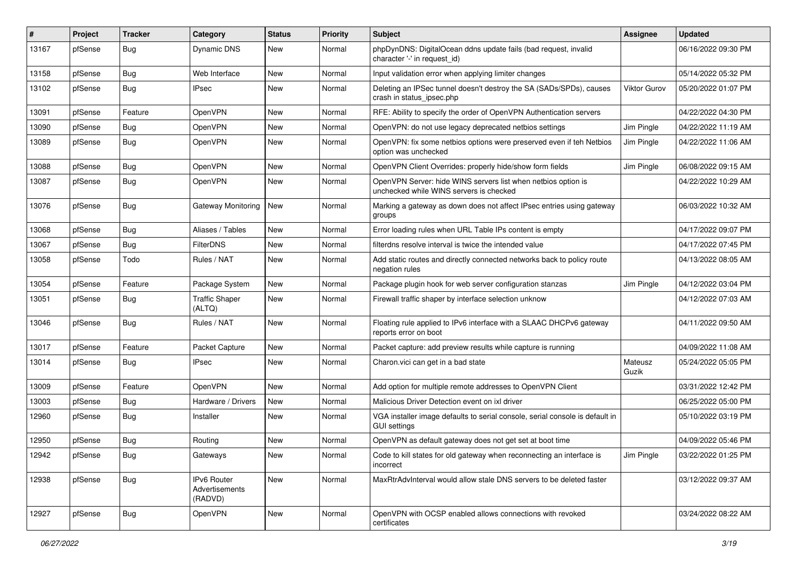| #     | Project | <b>Tracker</b> | Category                                        | <b>Status</b> | <b>Priority</b> | Subject                                                                                                  | <b>Assignee</b>     | <b>Updated</b>      |
|-------|---------|----------------|-------------------------------------------------|---------------|-----------------|----------------------------------------------------------------------------------------------------------|---------------------|---------------------|
| 13167 | pfSense | <b>Bug</b>     | Dynamic DNS                                     | New           | Normal          | phpDynDNS: DigitalOcean ddns update fails (bad request, invalid<br>character '-' in request id)          |                     | 06/16/2022 09:30 PM |
| 13158 | pfSense | Bug            | Web Interface                                   | <b>New</b>    | Normal          | Input validation error when applying limiter changes                                                     |                     | 05/14/2022 05:32 PM |
| 13102 | pfSense | Bug            | <b>IPsec</b>                                    | New           | Normal          | Deleting an IPSec tunnel doesn't destroy the SA (SADs/SPDs), causes<br>crash in status_ipsec.php         | <b>Viktor Gurov</b> | 05/20/2022 01:07 PM |
| 13091 | pfSense | Feature        | OpenVPN                                         | New           | Normal          | RFE: Ability to specify the order of OpenVPN Authentication servers                                      |                     | 04/22/2022 04:30 PM |
| 13090 | pfSense | <b>Bug</b>     | OpenVPN                                         | New           | Normal          | OpenVPN: do not use legacy deprecated netbios settings                                                   | Jim Pingle          | 04/22/2022 11:19 AM |
| 13089 | pfSense | Bug            | OpenVPN                                         | New           | Normal          | OpenVPN: fix some netbios options were preserved even if teh Netbios<br>option was unchecked             | Jim Pingle          | 04/22/2022 11:06 AM |
| 13088 | pfSense | Bug            | OpenVPN                                         | New           | Normal          | OpenVPN Client Overrides: properly hide/show form fields                                                 | Jim Pingle          | 06/08/2022 09:15 AM |
| 13087 | pfSense | <b>Bug</b>     | OpenVPN                                         | New           | Normal          | OpenVPN Server: hide WINS servers list when netbios option is<br>unchecked while WINS servers is checked |                     | 04/22/2022 10:29 AM |
| 13076 | pfSense | Bug            | Gateway Monitoring                              | <b>New</b>    | Normal          | Marking a gateway as down does not affect IPsec entries using gateway<br>groups                          |                     | 06/03/2022 10:32 AM |
| 13068 | pfSense | Bug            | Aliases / Tables                                | <b>New</b>    | Normal          | Error loading rules when URL Table IPs content is empty                                                  |                     | 04/17/2022 09:07 PM |
| 13067 | pfSense | Bug            | FilterDNS                                       | New           | Normal          | filterdns resolve interval is twice the intended value                                                   |                     | 04/17/2022 07:45 PM |
| 13058 | pfSense | Todo           | Rules / NAT                                     | New           | Normal          | Add static routes and directly connected networks back to policy route<br>negation rules                 |                     | 04/13/2022 08:05 AM |
| 13054 | pfSense | Feature        | Package System                                  | <b>New</b>    | Normal          | Package plugin hook for web server configuration stanzas                                                 | Jim Pingle          | 04/12/2022 03:04 PM |
| 13051 | pfSense | Bug            | <b>Traffic Shaper</b><br>(ALTQ)                 | New           | Normal          | Firewall traffic shaper by interface selection unknow                                                    |                     | 04/12/2022 07:03 AM |
| 13046 | pfSense | <b>Bug</b>     | Rules / NAT                                     | New           | Normal          | Floating rule applied to IPv6 interface with a SLAAC DHCPv6 gateway<br>reports error on boot             |                     | 04/11/2022 09:50 AM |
| 13017 | pfSense | Feature        | Packet Capture                                  | New           | Normal          | Packet capture: add preview results while capture is running                                             |                     | 04/09/2022 11:08 AM |
| 13014 | pfSense | <b>Bug</b>     | <b>IPsec</b>                                    | New           | Normal          | Charon.vici can get in a bad state                                                                       | Mateusz<br>Guzik    | 05/24/2022 05:05 PM |
| 13009 | pfSense | Feature        | OpenVPN                                         | New           | Normal          | Add option for multiple remote addresses to OpenVPN Client                                               |                     | 03/31/2022 12:42 PM |
| 13003 | pfSense | Bug            | Hardware / Drivers                              | New           | Normal          | Malicious Driver Detection event on ixl driver                                                           |                     | 06/25/2022 05:00 PM |
| 12960 | pfSense | Bug            | Installer                                       | New           | Normal          | VGA installer image defaults to serial console, serial console is default in<br><b>GUI settings</b>      |                     | 05/10/2022 03:19 PM |
| 12950 | pfSense | Bug            | Routing                                         | <b>New</b>    | Normal          | OpenVPN as default gateway does not get set at boot time                                                 |                     | 04/09/2022 05:46 PM |
| 12942 | pfSense | <b>Bug</b>     | Gateways                                        | New           | Normal          | Code to kill states for old gateway when reconnecting an interface is<br>incorrect                       | Jim Pingle          | 03/22/2022 01:25 PM |
| 12938 | pfSense | <b>Bug</b>     | IPv6 Router<br><b>Advertisements</b><br>(RADVD) | New           | Normal          | MaxRtrAdvInterval would allow stale DNS servers to be deleted faster                                     |                     | 03/12/2022 09:37 AM |
| 12927 | pfSense | <b>Bug</b>     | OpenVPN                                         | New           | Normal          | OpenVPN with OCSP enabled allows connections with revoked<br>certificates                                |                     | 03/24/2022 08:22 AM |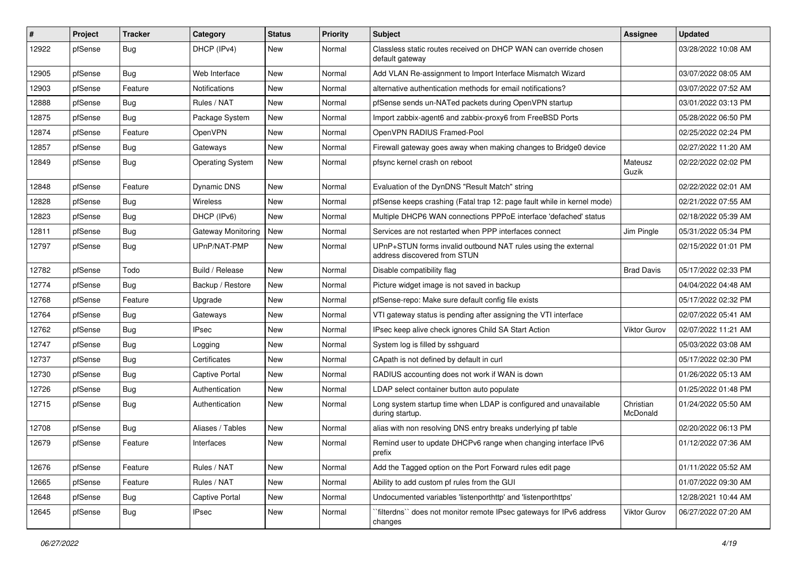| #     | Project | <b>Tracker</b> | Category                | <b>Status</b> | <b>Priority</b> | Subject                                                                                       | Assignee              | <b>Updated</b>      |
|-------|---------|----------------|-------------------------|---------------|-----------------|-----------------------------------------------------------------------------------------------|-----------------------|---------------------|
| 12922 | pfSense | <b>Bug</b>     | DHCP (IPv4)             | New           | Normal          | Classless static routes received on DHCP WAN can override chosen<br>default gateway           |                       | 03/28/2022 10:08 AM |
| 12905 | pfSense | Bug            | Web Interface           | New           | Normal          | Add VLAN Re-assignment to Import Interface Mismatch Wizard                                    |                       | 03/07/2022 08:05 AM |
| 12903 | pfSense | Feature        | Notifications           | New           | Normal          | alternative authentication methods for email notifications?                                   |                       | 03/07/2022 07:52 AM |
| 12888 | pfSense | <b>Bug</b>     | Rules / NAT             | New           | Normal          | pfSense sends un-NATed packets during OpenVPN startup                                         |                       | 03/01/2022 03:13 PM |
| 12875 | pfSense | Bug            | Package System          | New           | Normal          | Import zabbix-agent6 and zabbix-proxy6 from FreeBSD Ports                                     |                       | 05/28/2022 06:50 PM |
| 12874 | pfSense | Feature        | <b>OpenVPN</b>          | New           | Normal          | OpenVPN RADIUS Framed-Pool                                                                    |                       | 02/25/2022 02:24 PM |
| 12857 | pfSense | Bug            | Gateways                | New           | Normal          | Firewall gateway goes away when making changes to Bridge0 device                              |                       | 02/27/2022 11:20 AM |
| 12849 | pfSense | <b>Bug</b>     | <b>Operating System</b> | New           | Normal          | pfsync kernel crash on reboot                                                                 | Mateusz<br>Guzik      | 02/22/2022 02:02 PM |
| 12848 | pfSense | Feature        | Dynamic DNS             | New           | Normal          | Evaluation of the DynDNS "Result Match" string                                                |                       | 02/22/2022 02:01 AM |
| 12828 | pfSense | Bug            | Wireless                | New           | Normal          | pfSense keeps crashing (Fatal trap 12: page fault while in kernel mode)                       |                       | 02/21/2022 07:55 AM |
| 12823 | pfSense | Bug            | DHCP (IPv6)             | New           | Normal          | Multiple DHCP6 WAN connections PPPoE interface 'defached' status                              |                       | 02/18/2022 05:39 AM |
| 12811 | pfSense | Bug            | Gateway Monitoring      | New           | Normal          | Services are not restarted when PPP interfaces connect                                        | Jim Pingle            | 05/31/2022 05:34 PM |
| 12797 | pfSense | <b>Bug</b>     | UPnP/NAT-PMP            | New           | Normal          | UPnP+STUN forms invalid outbound NAT rules using the external<br>address discovered from STUN |                       | 02/15/2022 01:01 PM |
| 12782 | pfSense | Todo           | Build / Release         | <b>New</b>    | Normal          | Disable compatibility flag                                                                    | <b>Brad Davis</b>     | 05/17/2022 02:33 PM |
| 12774 | pfSense | <b>Bug</b>     | Backup / Restore        | <b>New</b>    | Normal          | Picture widget image is not saved in backup                                                   |                       | 04/04/2022 04:48 AM |
| 12768 | pfSense | Feature        | Upgrade                 | New           | Normal          | pfSense-repo: Make sure default config file exists                                            |                       | 05/17/2022 02:32 PM |
| 12764 | pfSense | Bug            | Gateways                | New           | Normal          | VTI gateway status is pending after assigning the VTI interface                               |                       | 02/07/2022 05:41 AM |
| 12762 | pfSense | <b>Bug</b>     | <b>IPsec</b>            | <b>New</b>    | Normal          | IPsec keep alive check ignores Child SA Start Action                                          | <b>Viktor Gurov</b>   | 02/07/2022 11:21 AM |
| 12747 | pfSense | <b>Bug</b>     | Logging                 | New           | Normal          | System log is filled by sshguard                                                              |                       | 05/03/2022 03:08 AM |
| 12737 | pfSense | Bug            | Certificates            | New           | Normal          | CApath is not defined by default in curl                                                      |                       | 05/17/2022 02:30 PM |
| 12730 | pfSense | <b>Bug</b>     | <b>Captive Portal</b>   | New           | Normal          | RADIUS accounting does not work if WAN is down                                                |                       | 01/26/2022 05:13 AM |
| 12726 | pfSense | Bug            | Authentication          | New           | Normal          | LDAP select container button auto populate                                                    |                       | 01/25/2022 01:48 PM |
| 12715 | pfSense | Bug            | Authentication          | <b>New</b>    | Normal          | Long system startup time when LDAP is configured and unavailable<br>during startup.           | Christian<br>McDonald | 01/24/2022 05:50 AM |
| 12708 | pfSense | <b>Bug</b>     | Aliases / Tables        | New           | Normal          | alias with non resolving DNS entry breaks underlying pf table                                 |                       | 02/20/2022 06:13 PM |
| 12679 | pfSense | Feature        | Interfaces              | New           | Normal          | Remind user to update DHCPv6 range when changing interface IPv6<br>prefix                     |                       | 01/12/2022 07:36 AM |
| 12676 | pfSense | Feature        | Rules / NAT             | New           | Normal          | Add the Tagged option on the Port Forward rules edit page                                     |                       | 01/11/2022 05:52 AM |
| 12665 | pfSense | Feature        | Rules / NAT             | New           | Normal          | Ability to add custom pf rules from the GUI                                                   |                       | 01/07/2022 09:30 AM |
| 12648 | pfSense | <b>Bug</b>     | Captive Portal          | New           | Normal          | Undocumented variables 'listenporthttp' and 'listenporthttps'                                 |                       | 12/28/2021 10:44 AM |
| 12645 | pfSense | Bug            | <b>IPsec</b>            | New           | Normal          | `filterdns`` does not monitor remote IPsec gateways for IPv6 address<br>changes               | Viktor Gurov          | 06/27/2022 07:20 AM |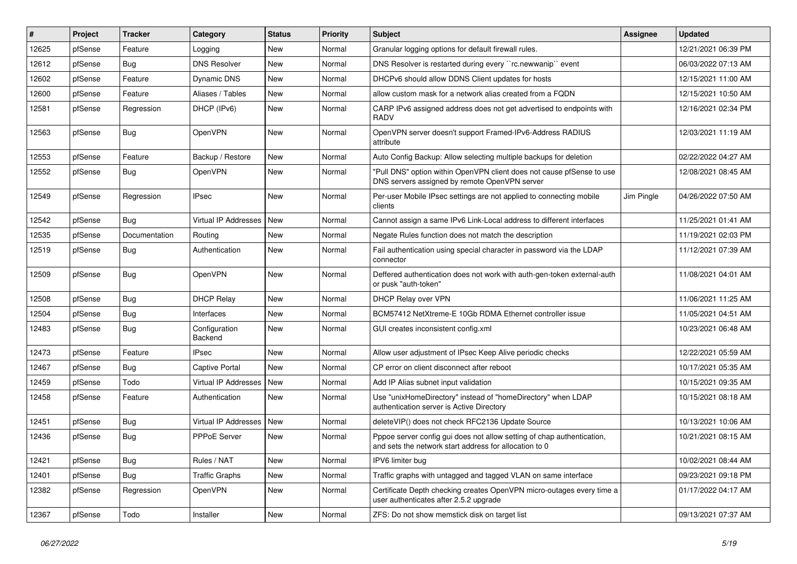| #     | Project | <b>Tracker</b> | Category                 | <b>Status</b> | Priority | Subject                                                                                                                          | <b>Assignee</b> | <b>Updated</b>      |
|-------|---------|----------------|--------------------------|---------------|----------|----------------------------------------------------------------------------------------------------------------------------------|-----------------|---------------------|
| 12625 | pfSense | Feature        | Logging                  | New           | Normal   | Granular logging options for default firewall rules.                                                                             |                 | 12/21/2021 06:39 PM |
| 12612 | pfSense | Bug            | <b>DNS Resolver</b>      | <b>New</b>    | Normal   | DNS Resolver is restarted during every "rc.newwanip" event                                                                       |                 | 06/03/2022 07:13 AM |
| 12602 | pfSense | Feature        | Dynamic DNS              | <b>New</b>    | Normal   | DHCPv6 should allow DDNS Client updates for hosts                                                                                |                 | 12/15/2021 11:00 AM |
| 12600 | pfSense | Feature        | Aliases / Tables         | New           | Normal   | allow custom mask for a network alias created from a FQDN                                                                        |                 | 12/15/2021 10:50 AM |
| 12581 | pfSense | Regression     | DHCP (IPv6)              | <b>New</b>    | Normal   | CARP IPv6 assigned address does not get advertised to endpoints with<br><b>RADV</b>                                              |                 | 12/16/2021 02:34 PM |
| 12563 | pfSense | Bug            | OpenVPN                  | <b>New</b>    | Normal   | OpenVPN server doesn't support Framed-IPv6-Address RADIUS<br>attribute                                                           |                 | 12/03/2021 11:19 AM |
| 12553 | pfSense | Feature        | Backup / Restore         | <b>New</b>    | Normal   | Auto Config Backup: Allow selecting multiple backups for deletion                                                                |                 | 02/22/2022 04:27 AM |
| 12552 | pfSense | <b>Bug</b>     | OpenVPN                  | <b>New</b>    | Normal   | "Pull DNS" option within OpenVPN client does not cause pfSense to use<br>DNS servers assigned by remote OpenVPN server           |                 | 12/08/2021 08:45 AM |
| 12549 | pfSense | Regression     | <b>IPsec</b>             | <b>New</b>    | Normal   | Per-user Mobile IPsec settings are not applied to connecting mobile<br>clients                                                   | Jim Pingle      | 04/26/2022 07:50 AM |
| 12542 | pfSense | Bug            | Virtual IP Addresses     | New           | Normal   | Cannot assign a same IPv6 Link-Local address to different interfaces                                                             |                 | 11/25/2021 01:41 AM |
| 12535 | pfSense | Documentation  | Routing                  | New           | Normal   | Negate Rules function does not match the description                                                                             |                 | 11/19/2021 02:03 PM |
| 12519 | pfSense | Bug            | Authentication           | <b>New</b>    | Normal   | Fail authentication using special character in password via the LDAP<br>connector                                                |                 | 11/12/2021 07:39 AM |
| 12509 | pfSense | <b>Bug</b>     | OpenVPN                  | <b>New</b>    | Normal   | Deffered authentication does not work with auth-gen-token external-auth<br>or pusk "auth-token"                                  |                 | 11/08/2021 04:01 AM |
| 12508 | pfSense | Bug            | <b>DHCP Relay</b>        | <b>New</b>    | Normal   | DHCP Relay over VPN                                                                                                              |                 | 11/06/2021 11:25 AM |
| 12504 | pfSense | <b>Bug</b>     | Interfaces               | <b>New</b>    | Normal   | BCM57412 NetXtreme-E 10Gb RDMA Ethernet controller issue                                                                         |                 | 11/05/2021 04:51 AM |
| 12483 | pfSense | Bug            | Configuration<br>Backend | New           | Normal   | GUI creates inconsistent config.xml                                                                                              |                 | 10/23/2021 06:48 AM |
| 12473 | pfSense | Feature        | <b>IPsec</b>             | <b>New</b>    | Normal   | Allow user adjustment of IPsec Keep Alive periodic checks                                                                        |                 | 12/22/2021 05:59 AM |
| 12467 | pfSense | <b>Bug</b>     | Captive Portal           | New           | Normal   | CP error on client disconnect after reboot                                                                                       |                 | 10/17/2021 05:35 AM |
| 12459 | pfSense | Todo           | Virtual IP Addresses     | <b>New</b>    | Normal   | Add IP Alias subnet input validation                                                                                             |                 | 10/15/2021 09:35 AM |
| 12458 | pfSense | Feature        | Authentication           | <b>New</b>    | Normal   | Use "unixHomeDirectory" instead of "homeDirectory" when LDAP<br>authentication server is Active Directory                        |                 | 10/15/2021 08:18 AM |
| 12451 | pfSense | <b>Bug</b>     | Virtual IP Addresses     | <b>New</b>    | Normal   | deleteVIP() does not check RFC2136 Update Source                                                                                 |                 | 10/13/2021 10:06 AM |
| 12436 | pfSense | Bug            | PPPoE Server             | New           | Normal   | Pppoe server config gui does not allow setting of chap authentication,<br>and sets the network start address for allocation to 0 |                 | 10/21/2021 08:15 AM |
| 12421 | pfSense | <b>Bug</b>     | Rules / NAT              | New           | Normal   | IPV6 limiter bug                                                                                                                 |                 | 10/02/2021 08:44 AM |
| 12401 | pfSense | Bug            | <b>Traffic Graphs</b>    | New           | Normal   | Traffic graphs with untagged and tagged VLAN on same interface                                                                   |                 | 09/23/2021 09:18 PM |
| 12382 | pfSense | Regression     | OpenVPN                  | New           | Normal   | Certificate Depth checking creates OpenVPN micro-outages every time a<br>user authenticates after 2.5.2 upgrade                  |                 | 01/17/2022 04:17 AM |
| 12367 | pfSense | Todo           | Installer                | New           | Normal   | ZFS: Do not show memstick disk on target list                                                                                    |                 | 09/13/2021 07:37 AM |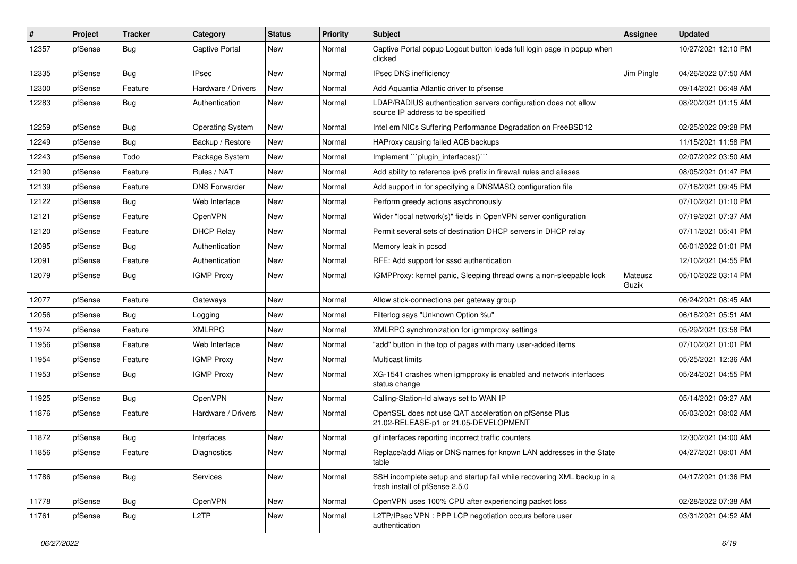| #     | Project | <b>Tracker</b> | Category                | <b>Status</b> | Priority | <b>Subject</b>                                                                                           | <b>Assignee</b>  | <b>Updated</b>      |
|-------|---------|----------------|-------------------------|---------------|----------|----------------------------------------------------------------------------------------------------------|------------------|---------------------|
| 12357 | pfSense | Bug            | <b>Captive Portal</b>   | New           | Normal   | Captive Portal popup Logout button loads full login page in popup when<br>clicked                        |                  | 10/27/2021 12:10 PM |
| 12335 | pfSense | <b>Bug</b>     | <b>IPsec</b>            | <b>New</b>    | Normal   | IPsec DNS inefficiency                                                                                   | Jim Pingle       | 04/26/2022 07:50 AM |
| 12300 | pfSense | Feature        | Hardware / Drivers      | New           | Normal   | Add Aquantia Atlantic driver to pfsense                                                                  |                  | 09/14/2021 06:49 AM |
| 12283 | pfSense | Bug            | Authentication          | <b>New</b>    | Normal   | LDAP/RADIUS authentication servers configuration does not allow<br>source IP address to be specified     |                  | 08/20/2021 01:15 AM |
| 12259 | pfSense | Bug            | <b>Operating System</b> | New           | Normal   | Intel em NICs Suffering Performance Degradation on FreeBSD12                                             |                  | 02/25/2022 09:28 PM |
| 12249 | pfSense | <b>Bug</b>     | Backup / Restore        | New           | Normal   | HAProxy causing failed ACB backups                                                                       |                  | 11/15/2021 11:58 PM |
| 12243 | pfSense | Todo           | Package System          | New           | Normal   | Implement "plugin interfaces()"                                                                          |                  | 02/07/2022 03:50 AM |
| 12190 | pfSense | Feature        | Rules / NAT             | New           | Normal   | Add ability to reference ipv6 prefix in firewall rules and aliases                                       |                  | 08/05/2021 01:47 PM |
| 12139 | pfSense | Feature        | <b>DNS Forwarder</b>    | New           | Normal   | Add support in for specifying a DNSMASQ configuration file                                               |                  | 07/16/2021 09:45 PM |
| 12122 | pfSense | Bug            | Web Interface           | New           | Normal   | Perform greedy actions asychronously                                                                     |                  | 07/10/2021 01:10 PM |
| 12121 | pfSense | Feature        | OpenVPN                 | New           | Normal   | Wider "local network(s)" fields in OpenVPN server configuration                                          |                  | 07/19/2021 07:37 AM |
| 12120 | pfSense | Feature        | <b>DHCP Relay</b>       | New           | Normal   | Permit several sets of destination DHCP servers in DHCP relay                                            |                  | 07/11/2021 05:41 PM |
| 12095 | pfSense | <b>Bug</b>     | Authentication          | <b>New</b>    | Normal   | Memory leak in pcscd                                                                                     |                  | 06/01/2022 01:01 PM |
| 12091 | pfSense | Feature        | Authentication          | New           | Normal   | RFE: Add support for sssd authentication                                                                 |                  | 12/10/2021 04:55 PM |
| 12079 | pfSense | Bug            | <b>IGMP Proxy</b>       | New           | Normal   | IGMPProxy: kernel panic, Sleeping thread owns a non-sleepable lock                                       | Mateusz<br>Guzik | 05/10/2022 03:14 PM |
| 12077 | pfSense | Feature        | Gateways                | New           | Normal   | Allow stick-connections per gateway group                                                                |                  | 06/24/2021 08:45 AM |
| 12056 | pfSense | Bug            | Logging                 | New           | Normal   | Filterlog says "Unknown Option %u"                                                                       |                  | 06/18/2021 05:51 AM |
| 11974 | pfSense | Feature        | <b>XMLRPC</b>           | New           | Normal   | XMLRPC synchronization for igmmproxy settings                                                            |                  | 05/29/2021 03:58 PM |
| 11956 | pfSense | Feature        | Web Interface           | New           | Normal   | "add" button in the top of pages with many user-added items                                              |                  | 07/10/2021 01:01 PM |
| 11954 | pfSense | Feature        | <b>IGMP Proxy</b>       | New           | Normal   | <b>Multicast limits</b>                                                                                  |                  | 05/25/2021 12:36 AM |
| 11953 | pfSense | Bug            | <b>IGMP Proxy</b>       | New           | Normal   | XG-1541 crashes when igmpproxy is enabled and network interfaces<br>status change                        |                  | 05/24/2021 04:55 PM |
| 11925 | pfSense | Bug            | OpenVPN                 | New           | Normal   | Calling-Station-Id always set to WAN IP                                                                  |                  | 05/14/2021 09:27 AM |
| 11876 | pfSense | Feature        | Hardware / Drivers      | New           | Normal   | OpenSSL does not use QAT acceleration on pfSense Plus<br>21.02-RELEASE-p1 or 21.05-DEVELOPMENT           |                  | 05/03/2021 08:02 AM |
| 11872 | pfSense | Bug            | Interfaces              | New           | Normal   | gif interfaces reporting incorrect traffic counters                                                      |                  | 12/30/2021 04:00 AM |
| 11856 | pfSense | Feature        | Diagnostics             | New           | Normal   | Replace/add Alias or DNS names for known LAN addresses in the State<br>table                             |                  | 04/27/2021 08:01 AM |
| 11786 | pfSense | Bug            | Services                | New           | Normal   | SSH incomplete setup and startup fail while recovering XML backup in a<br>fresh install of pfSense 2.5.0 |                  | 04/17/2021 01:36 PM |
| 11778 | pfSense | Bug            | OpenVPN                 | New           | Normal   | OpenVPN uses 100% CPU after experiencing packet loss                                                     |                  | 02/28/2022 07:38 AM |
| 11761 | pfSense | <b>Bug</b>     | L <sub>2</sub> TP       | New           | Normal   | L2TP/IPsec VPN : PPP LCP negotiation occurs before user<br>authentication                                |                  | 03/31/2021 04:52 AM |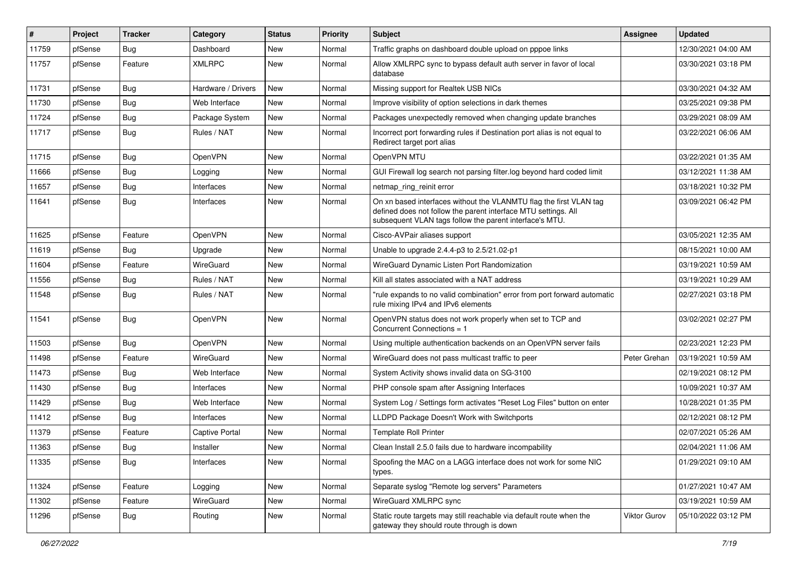| $\#$  | Project | <b>Tracker</b> | Category           | <b>Status</b> | <b>Priority</b> | <b>Subject</b>                                                                                                                                                                                  | Assignee     | <b>Updated</b>      |
|-------|---------|----------------|--------------------|---------------|-----------------|-------------------------------------------------------------------------------------------------------------------------------------------------------------------------------------------------|--------------|---------------------|
| 11759 | pfSense | <b>Bug</b>     | Dashboard          | New           | Normal          | Traffic graphs on dashboard double upload on pppoe links                                                                                                                                        |              | 12/30/2021 04:00 AM |
| 11757 | pfSense | Feature        | <b>XMLRPC</b>      | New           | Normal          | Allow XMLRPC sync to bypass default auth server in favor of local<br>database                                                                                                                   |              | 03/30/2021 03:18 PM |
| 11731 | pfSense | Bug            | Hardware / Drivers | New           | Normal          | Missing support for Realtek USB NICs                                                                                                                                                            |              | 03/30/2021 04:32 AM |
| 11730 | pfSense | <b>Bug</b>     | Web Interface      | <b>New</b>    | Normal          | Improve visibility of option selections in dark themes                                                                                                                                          |              | 03/25/2021 09:38 PM |
| 11724 | pfSense | <b>Bug</b>     | Package System     | New           | Normal          | Packages unexpectedly removed when changing update branches                                                                                                                                     |              | 03/29/2021 08:09 AM |
| 11717 | pfSense | Bug            | Rules / NAT        | <b>New</b>    | Normal          | Incorrect port forwarding rules if Destination port alias is not equal to<br>Redirect target port alias                                                                                         |              | 03/22/2021 06:06 AM |
| 11715 | pfSense | Bug            | OpenVPN            | New           | Normal          | OpenVPN MTU                                                                                                                                                                                     |              | 03/22/2021 01:35 AM |
| 11666 | pfSense | Bug            | Logging            | New           | Normal          | GUI Firewall log search not parsing filter.log beyond hard coded limit                                                                                                                          |              | 03/12/2021 11:38 AM |
| 11657 | pfSense | Bug            | Interfaces         | New           | Normal          | netmap_ring_reinit error                                                                                                                                                                        |              | 03/18/2021 10:32 PM |
| 11641 | pfSense | Bug            | Interfaces         | New           | Normal          | On xn based interfaces without the VLANMTU flag the first VLAN tag<br>defined does not follow the parent interface MTU settings. All<br>subsequent VLAN tags follow the parent interface's MTU. |              | 03/09/2021 06:42 PM |
| 11625 | pfSense | Feature        | OpenVPN            | New           | Normal          | Cisco-AVPair aliases support                                                                                                                                                                    |              | 03/05/2021 12:35 AM |
| 11619 | pfSense | Bug            | Upgrade            | New           | Normal          | Unable to upgrade 2.4.4-p3 to 2.5/21.02-p1                                                                                                                                                      |              | 08/15/2021 10:00 AM |
| 11604 | pfSense | Feature        | WireGuard          | New           | Normal          | WireGuard Dynamic Listen Port Randomization                                                                                                                                                     |              | 03/19/2021 10:59 AM |
| 11556 | pfSense | <b>Bug</b>     | Rules / NAT        | New           | Normal          | Kill all states associated with a NAT address                                                                                                                                                   |              | 03/19/2021 10:29 AM |
| 11548 | pfSense | Bug            | Rules / NAT        | New           | Normal          | "rule expands to no valid combination" error from port forward automatic<br>rule mixing IPv4 and IPv6 elements                                                                                  |              | 02/27/2021 03:18 PM |
| 11541 | pfSense | Bug            | OpenVPN            | New           | Normal          | OpenVPN status does not work properly when set to TCP and<br>Concurrent Connections = 1                                                                                                         |              | 03/02/2021 02:27 PM |
| 11503 | pfSense | Bug            | OpenVPN            | New           | Normal          | Using multiple authentication backends on an OpenVPN server fails                                                                                                                               |              | 02/23/2021 12:23 PM |
| 11498 | pfSense | Feature        | WireGuard          | New           | Normal          | WireGuard does not pass multicast traffic to peer                                                                                                                                               | Peter Grehan | 03/19/2021 10:59 AM |
| 11473 | pfSense | <b>Bug</b>     | Web Interface      | New           | Normal          | System Activity shows invalid data on SG-3100                                                                                                                                                   |              | 02/19/2021 08:12 PM |
| 11430 | pfSense | Bug            | Interfaces         | New           | Normal          | PHP console spam after Assigning Interfaces                                                                                                                                                     |              | 10/09/2021 10:37 AM |
| 11429 | pfSense | Bug            | Web Interface      | New           | Normal          | System Log / Settings form activates "Reset Log Files" button on enter                                                                                                                          |              | 10/28/2021 01:35 PM |
| 11412 | pfSense | Bug            | Interfaces         | New           | Normal          | LLDPD Package Doesn't Work with Switchports                                                                                                                                                     |              | 02/12/2021 08:12 PM |
| 11379 | pfSense | Feature        | Captive Portal     | <b>New</b>    | Normal          | <b>Template Roll Printer</b>                                                                                                                                                                    |              | 02/07/2021 05:26 AM |
| 11363 | pfSense | Bug            | Installer          | New           | Normal          | Clean Install 2.5.0 fails due to hardware incompability                                                                                                                                         |              | 02/04/2021 11:06 AM |
| 11335 | pfSense | Bug            | Interfaces         | New           | Normal          | Spoofing the MAC on a LAGG interface does not work for some NIC<br>types.                                                                                                                       |              | 01/29/2021 09:10 AM |
| 11324 | pfSense | Feature        | Logging            | New           | Normal          | Separate syslog "Remote log servers" Parameters                                                                                                                                                 |              | 01/27/2021 10:47 AM |
| 11302 | pfSense | Feature        | WireGuard          | New           | Normal          | WireGuard XMLRPC sync                                                                                                                                                                           |              | 03/19/2021 10:59 AM |
| 11296 | pfSense | <b>Bug</b>     | Routing            | New           | Normal          | Static route targets may still reachable via default route when the<br>gateway they should route through is down                                                                                | Viktor Gurov | 05/10/2022 03:12 PM |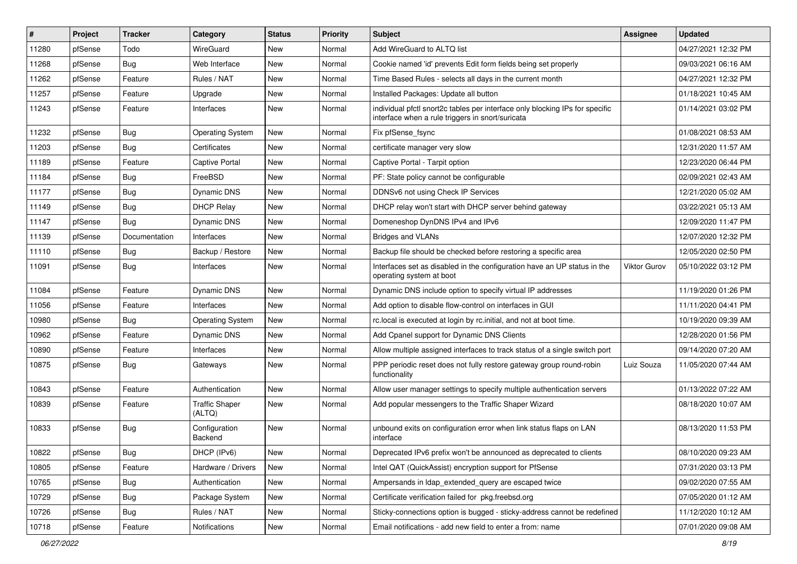| #     | Project | <b>Tracker</b> | Category                        | <b>Status</b> | <b>Priority</b> | <b>Subject</b>                                                                                                                   | <b>Assignee</b>     | <b>Updated</b>      |
|-------|---------|----------------|---------------------------------|---------------|-----------------|----------------------------------------------------------------------------------------------------------------------------------|---------------------|---------------------|
| 11280 | pfSense | Todo           | WireGuard                       | New           | Normal          | Add WireGuard to ALTQ list                                                                                                       |                     | 04/27/2021 12:32 PM |
| 11268 | pfSense | Bug            | Web Interface                   | New           | Normal          | Cookie named 'id' prevents Edit form fields being set properly                                                                   |                     | 09/03/2021 06:16 AM |
| 11262 | pfSense | Feature        | Rules / NAT                     | New           | Normal          | Time Based Rules - selects all days in the current month                                                                         |                     | 04/27/2021 12:32 PM |
| 11257 | pfSense | Feature        | Upgrade                         | New           | Normal          | Installed Packages: Update all button                                                                                            |                     | 01/18/2021 10:45 AM |
| 11243 | pfSense | Feature        | Interfaces                      | New           | Normal          | individual pfctl snort2c tables per interface only blocking IPs for specific<br>interface when a rule triggers in snort/suricata |                     | 01/14/2021 03:02 PM |
| 11232 | pfSense | Bug            | <b>Operating System</b>         | New           | Normal          | Fix pfSense fsync                                                                                                                |                     | 01/08/2021 08:53 AM |
| 11203 | pfSense | <b>Bug</b>     | Certificates                    | <b>New</b>    | Normal          | certificate manager very slow                                                                                                    |                     | 12/31/2020 11:57 AM |
| 11189 | pfSense | Feature        | <b>Captive Portal</b>           | New           | Normal          | Captive Portal - Tarpit option                                                                                                   |                     | 12/23/2020 06:44 PM |
| 11184 | pfSense | <b>Bug</b>     | FreeBSD                         | <b>New</b>    | Normal          | PF: State policy cannot be configurable                                                                                          |                     | 02/09/2021 02:43 AM |
| 11177 | pfSense | <b>Bug</b>     | Dynamic DNS                     | New           | Normal          | DDNSv6 not using Check IP Services                                                                                               |                     | 12/21/2020 05:02 AM |
| 11149 | pfSense | <b>Bug</b>     | <b>DHCP Relay</b>               | New           | Normal          | DHCP relay won't start with DHCP server behind gateway                                                                           |                     | 03/22/2021 05:13 AM |
| 11147 | pfSense | Bug            | <b>Dynamic DNS</b>              | <b>New</b>    | Normal          | Domeneshop DynDNS IPv4 and IPv6                                                                                                  |                     | 12/09/2020 11:47 PM |
| 11139 | pfSense | Documentation  | Interfaces                      | New           | Normal          | Bridges and VLANs                                                                                                                |                     | 12/07/2020 12:32 PM |
| 11110 | pfSense | <b>Bug</b>     | Backup / Restore                | New           | Normal          | Backup file should be checked before restoring a specific area                                                                   |                     | 12/05/2020 02:50 PM |
| 11091 | pfSense | <b>Bug</b>     | Interfaces                      | New           | Normal          | Interfaces set as disabled in the configuration have an UP status in the<br>operating system at boot                             | <b>Viktor Gurov</b> | 05/10/2022 03:12 PM |
| 11084 | pfSense | Feature        | Dynamic DNS                     | New           | Normal          | Dynamic DNS include option to specify virtual IP addresses                                                                       |                     | 11/19/2020 01:26 PM |
| 11056 | pfSense | Feature        | Interfaces                      | New           | Normal          | Add option to disable flow-control on interfaces in GUI                                                                          |                     | 11/11/2020 04:41 PM |
| 10980 | pfSense | <b>Bug</b>     | <b>Operating System</b>         | New           | Normal          | rc.local is executed at login by rc.initial, and not at boot time.                                                               |                     | 10/19/2020 09:39 AM |
| 10962 | pfSense | Feature        | Dynamic DNS                     | New           | Normal          | Add Cpanel support for Dynamic DNS Clients                                                                                       |                     | 12/28/2020 01:56 PM |
| 10890 | pfSense | Feature        | Interfaces                      | New           | Normal          | Allow multiple assigned interfaces to track status of a single switch port                                                       |                     | 09/14/2020 07:20 AM |
| 10875 | pfSense | <b>Bug</b>     | Gateways                        | <b>New</b>    | Normal          | PPP periodic reset does not fully restore gateway group round-robin<br>functionality                                             | Luiz Souza          | 11/05/2020 07:44 AM |
| 10843 | pfSense | Feature        | Authentication                  | New           | Normal          | Allow user manager settings to specify multiple authentication servers                                                           |                     | 01/13/2022 07:22 AM |
| 10839 | pfSense | Feature        | <b>Traffic Shaper</b><br>(ALTQ) | New           | Normal          | Add popular messengers to the Traffic Shaper Wizard                                                                              |                     | 08/18/2020 10:07 AM |
| 10833 | pfSense | <b>Bug</b>     | Configuration<br>Backend        | New           | Normal          | unbound exits on configuration error when link status flaps on LAN<br>interface                                                  |                     | 08/13/2020 11:53 PM |
| 10822 | pfSense | Bug            | DHCP (IPv6)                     | New           | Normal          | Deprecated IPv6 prefix won't be announced as deprecated to clients                                                               |                     | 08/10/2020 09:23 AM |
| 10805 | pfSense | Feature        | Hardware / Drivers              | New           | Normal          | Intel QAT (QuickAssist) encryption support for PfSense                                                                           |                     | 07/31/2020 03:13 PM |
| 10765 | pfSense | <b>Bug</b>     | Authentication                  | New           | Normal          | Ampersands in Idap_extended_query are escaped twice                                                                              |                     | 09/02/2020 07:55 AM |
| 10729 | pfSense | <b>Bug</b>     | Package System                  | New           | Normal          | Certificate verification failed for pkg.freebsd.org                                                                              |                     | 07/05/2020 01:12 AM |
| 10726 | pfSense | Bug            | Rules / NAT                     | New           | Normal          | Sticky-connections option is bugged - sticky-address cannot be redefined                                                         |                     | 11/12/2020 10:12 AM |
| 10718 | pfSense | Feature        | Notifications                   | New           | Normal          | Email notifications - add new field to enter a from: name                                                                        |                     | 07/01/2020 09:08 AM |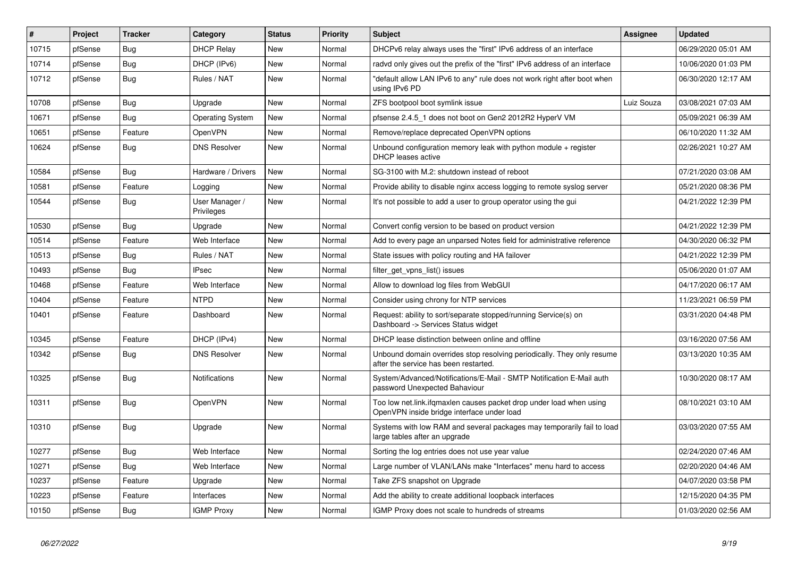| $\sharp$ | Project | <b>Tracker</b> | Category                     | <b>Status</b> | <b>Priority</b> | <b>Subject</b>                                                                                                    | Assignee   | <b>Updated</b>      |
|----------|---------|----------------|------------------------------|---------------|-----------------|-------------------------------------------------------------------------------------------------------------------|------------|---------------------|
| 10715    | pfSense | Bug            | <b>DHCP Relay</b>            | <b>New</b>    | Normal          | DHCPv6 relay always uses the "first" IPv6 address of an interface                                                 |            | 06/29/2020 05:01 AM |
| 10714    | pfSense | <b>Bug</b>     | DHCP (IPv6)                  | New           | Normal          | radvd only gives out the prefix of the "first" IPv6 address of an interface                                       |            | 10/06/2020 01:03 PM |
| 10712    | pfSense | Bug            | Rules / NAT                  | <b>New</b>    | Normal          | "default allow LAN IPv6 to any" rule does not work right after boot when<br>using IPv6 PD                         |            | 06/30/2020 12:17 AM |
| 10708    | pfSense | <b>Bug</b>     | Upgrade                      | <b>New</b>    | Normal          | ZFS bootpool boot symlink issue                                                                                   | Luiz Souza | 03/08/2021 07:03 AM |
| 10671    | pfSense | <b>Bug</b>     | <b>Operating System</b>      | New           | Normal          | pfsense 2.4.5 1 does not boot on Gen2 2012R2 HyperV VM                                                            |            | 05/09/2021 06:39 AM |
| 10651    | pfSense | Feature        | OpenVPN                      | New           | Normal          | Remove/replace deprecated OpenVPN options                                                                         |            | 06/10/2020 11:32 AM |
| 10624    | pfSense | Bug            | <b>DNS Resolver</b>          | <b>New</b>    | Normal          | Unbound configuration memory leak with python module $+$ register<br><b>DHCP</b> leases active                    |            | 02/26/2021 10:27 AM |
| 10584    | pfSense | Bug            | Hardware / Drivers           | New           | Normal          | SG-3100 with M.2: shutdown instead of reboot                                                                      |            | 07/21/2020 03:08 AM |
| 10581    | pfSense | Feature        | Logging                      | <b>New</b>    | Normal          | Provide ability to disable nginx access logging to remote syslog server                                           |            | 05/21/2020 08:36 PM |
| 10544    | pfSense | <b>Bug</b>     | User Manager /<br>Privileges | <b>New</b>    | Normal          | It's not possible to add a user to group operator using the gui                                                   |            | 04/21/2022 12:39 PM |
| 10530    | pfSense | Bug            | Upgrade                      | <b>New</b>    | Normal          | Convert config version to be based on product version                                                             |            | 04/21/2022 12:39 PM |
| 10514    | pfSense | Feature        | Web Interface                | New           | Normal          | Add to every page an unparsed Notes field for administrative reference                                            |            | 04/30/2020 06:32 PM |
| 10513    | pfSense | Bug            | Rules / NAT                  | New           | Normal          | State issues with policy routing and HA failover                                                                  |            | 04/21/2022 12:39 PM |
| 10493    | pfSense | Bug            | IPsec                        | New           | Normal          | filter get vpns list() issues                                                                                     |            | 05/06/2020 01:07 AM |
| 10468    | pfSense | Feature        | Web Interface                | New           | Normal          | Allow to download log files from WebGUI                                                                           |            | 04/17/2020 06:17 AM |
| 10404    | pfSense | Feature        | <b>NTPD</b>                  | <b>New</b>    | Normal          | Consider using chrony for NTP services                                                                            |            | 11/23/2021 06:59 PM |
| 10401    | pfSense | Feature        | Dashboard                    | New           | Normal          | Request: ability to sort/separate stopped/running Service(s) on<br>Dashboard -> Services Status widget            |            | 03/31/2020 04:48 PM |
| 10345    | pfSense | Feature        | DHCP (IPv4)                  | New           | Normal          | DHCP lease distinction between online and offline                                                                 |            | 03/16/2020 07:56 AM |
| 10342    | pfSense | Bug            | <b>DNS Resolver</b>          | New           | Normal          | Unbound domain overrides stop resolving periodically. They only resume<br>after the service has been restarted.   |            | 03/13/2020 10:35 AM |
| 10325    | pfSense | Bug            | Notifications                | <b>New</b>    | Normal          | System/Advanced/Notifications/E-Mail - SMTP Notification E-Mail auth<br>password Unexpected Bahaviour             |            | 10/30/2020 08:17 AM |
| 10311    | pfSense | Bug            | OpenVPN                      | <b>New</b>    | Normal          | Too low net.link.ifgmaxlen causes packet drop under load when using<br>OpenVPN inside bridge interface under load |            | 08/10/2021 03:10 AM |
| 10310    | pfSense | Bug            | Upgrade                      | <b>New</b>    | Normal          | Systems with low RAM and several packages may temporarily fail to load<br>large tables after an upgrade           |            | 03/03/2020 07:55 AM |
| 10277    | pfSense | <b>Bug</b>     | Web Interface                | <b>New</b>    | Normal          | Sorting the log entries does not use year value                                                                   |            | 02/24/2020 07:46 AM |
| 10271    | pfSense | Bug            | Web Interface                | New           | Normal          | Large number of VLAN/LANs make "Interfaces" menu hard to access                                                   |            | 02/20/2020 04:46 AM |
| 10237    | pfSense | Feature        | Upgrade                      | New           | Normal          | Take ZFS snapshot on Upgrade                                                                                      |            | 04/07/2020 03:58 PM |
| 10223    | pfSense | Feature        | Interfaces                   | <b>New</b>    | Normal          | Add the ability to create additional loopback interfaces                                                          |            | 12/15/2020 04:35 PM |
| 10150    | pfSense | <b>Bug</b>     | <b>IGMP Proxy</b>            | New           | Normal          | IGMP Proxy does not scale to hundreds of streams                                                                  |            | 01/03/2020 02:56 AM |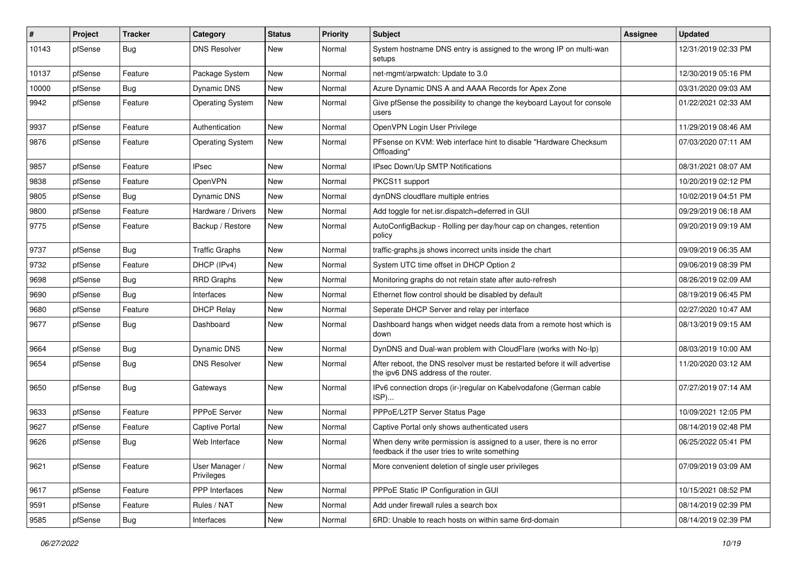| $\sharp$ | Project | <b>Tracker</b> | Category                     | <b>Status</b> | <b>Priority</b> | <b>Subject</b>                                                                                                       | <b>Assignee</b> | <b>Updated</b>      |
|----------|---------|----------------|------------------------------|---------------|-----------------|----------------------------------------------------------------------------------------------------------------------|-----------------|---------------------|
| 10143    | pfSense | <b>Bug</b>     | <b>DNS Resolver</b>          | New           | Normal          | System hostname DNS entry is assigned to the wrong IP on multi-wan<br>setups                                         |                 | 12/31/2019 02:33 PM |
| 10137    | pfSense | Feature        | Package System               | New           | Normal          | net-mgmt/arpwatch: Update to 3.0                                                                                     |                 | 12/30/2019 05:16 PM |
| 10000    | pfSense | Bug            | Dynamic DNS                  | New           | Normal          | Azure Dynamic DNS A and AAAA Records for Apex Zone                                                                   |                 | 03/31/2020 09:03 AM |
| 9942     | pfSense | Feature        | <b>Operating System</b>      | New           | Normal          | Give pfSense the possibility to change the keyboard Layout for console<br>users                                      |                 | 01/22/2021 02:33 AM |
| 9937     | pfSense | Feature        | Authentication               | New           | Normal          | OpenVPN Login User Privilege                                                                                         |                 | 11/29/2019 08:46 AM |
| 9876     | pfSense | Feature        | <b>Operating System</b>      | New           | Normal          | PFsense on KVM: Web interface hint to disable "Hardware Checksum<br>Offloading'                                      |                 | 07/03/2020 07:11 AM |
| 9857     | pfSense | Feature        | <b>IPsec</b>                 | <b>New</b>    | Normal          | IPsec Down/Up SMTP Notifications                                                                                     |                 | 08/31/2021 08:07 AM |
| 9838     | pfSense | Feature        | OpenVPN                      | New           | Normal          | PKCS11 support                                                                                                       |                 | 10/20/2019 02:12 PM |
| 9805     | pfSense | Bug            | Dynamic DNS                  | New           | Normal          | dynDNS cloudflare multiple entries                                                                                   |                 | 10/02/2019 04:51 PM |
| 9800     | pfSense | Feature        | Hardware / Drivers           | New           | Normal          | Add toggle for net.isr.dispatch=deferred in GUI                                                                      |                 | 09/29/2019 06:18 AM |
| 9775     | pfSense | Feature        | Backup / Restore             | New           | Normal          | AutoConfigBackup - Rolling per day/hour cap on changes, retention<br>policy                                          |                 | 09/20/2019 09:19 AM |
| 9737     | pfSense | Bug            | <b>Traffic Graphs</b>        | New           | Normal          | traffic-graphs.js shows incorrect units inside the chart                                                             |                 | 09/09/2019 06:35 AM |
| 9732     | pfSense | Feature        | DHCP (IPv4)                  | New           | Normal          | System UTC time offset in DHCP Option 2                                                                              |                 | 09/06/2019 08:39 PM |
| 9698     | pfSense | Bug            | <b>RRD Graphs</b>            | New           | Normal          | Monitoring graphs do not retain state after auto-refresh                                                             |                 | 08/26/2019 02:09 AM |
| 9690     | pfSense | Bug            | Interfaces                   | New           | Normal          | Ethernet flow control should be disabled by default                                                                  |                 | 08/19/2019 06:45 PM |
| 9680     | pfSense | Feature        | <b>DHCP Relay</b>            | New           | Normal          | Seperate DHCP Server and relay per interface                                                                         |                 | 02/27/2020 10:47 AM |
| 9677     | pfSense | Bug            | Dashboard                    | New           | Normal          | Dashboard hangs when widget needs data from a remote host which is<br>down                                           |                 | 08/13/2019 09:15 AM |
| 9664     | pfSense | Bug            | Dynamic DNS                  | New           | Normal          | DynDNS and Dual-wan problem with CloudFlare (works with No-Ip)                                                       |                 | 08/03/2019 10:00 AM |
| 9654     | pfSense | Bug            | <b>DNS Resolver</b>          | New           | Normal          | After reboot, the DNS resolver must be restarted before it will advertise<br>the ipv6 DNS address of the router.     |                 | 11/20/2020 03:12 AM |
| 9650     | pfSense | Bug            | Gateways                     | New           | Normal          | IPv6 connection drops (ir-)regular on Kabelvodafone (German cable<br>ISP)                                            |                 | 07/27/2019 07:14 AM |
| 9633     | pfSense | Feature        | PPPoE Server                 | New           | Normal          | PPPoE/L2TP Server Status Page                                                                                        |                 | 10/09/2021 12:05 PM |
| 9627     | pfSense | Feature        | Captive Portal               | New           | Normal          | Captive Portal only shows authenticated users                                                                        |                 | 08/14/2019 02:48 PM |
| 9626     | pfSense | <b>Bug</b>     | Web Interface                | New           | Normal          | When deny write permission is assigned to a user, there is no error<br>feedback if the user tries to write something |                 | 06/25/2022 05:41 PM |
| 9621     | pfSense | Feature        | User Manager /<br>Privileges | New           | Normal          | More convenient deletion of single user privileges                                                                   |                 | 07/09/2019 03:09 AM |
| 9617     | pfSense | Feature        | <b>PPP</b> Interfaces        | New           | Normal          | PPPoE Static IP Configuration in GUI                                                                                 |                 | 10/15/2021 08:52 PM |
| 9591     | pfSense | Feature        | Rules / NAT                  | New           | Normal          | Add under firewall rules a search box                                                                                |                 | 08/14/2019 02:39 PM |
| 9585     | pfSense | Bug            | Interfaces                   | New           | Normal          | 6RD: Unable to reach hosts on within same 6rd-domain                                                                 |                 | 08/14/2019 02:39 PM |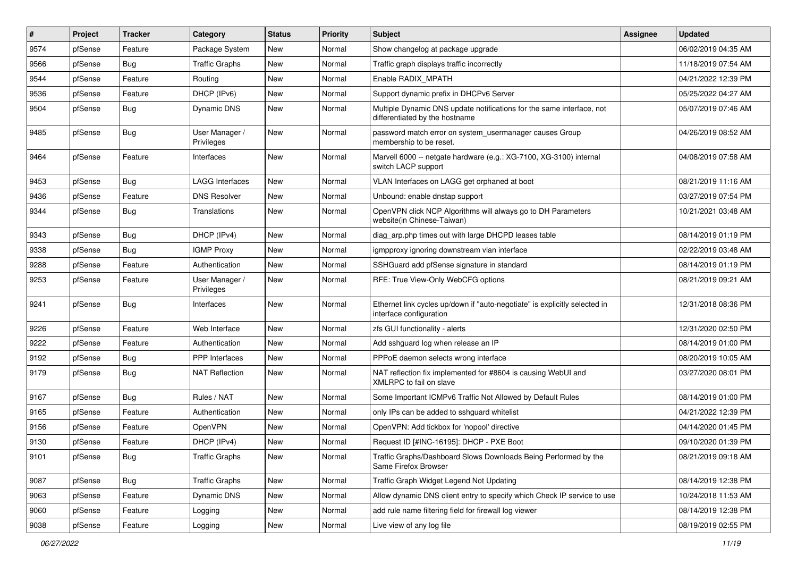| $\vert$ # | Project | <b>Tracker</b> | Category                     | <b>Status</b> | <b>Priority</b> | Subject                                                                                                 | <b>Assignee</b> | <b>Updated</b>      |
|-----------|---------|----------------|------------------------------|---------------|-----------------|---------------------------------------------------------------------------------------------------------|-----------------|---------------------|
| 9574      | pfSense | Feature        | Package System               | New           | Normal          | Show changelog at package upgrade                                                                       |                 | 06/02/2019 04:35 AM |
| 9566      | pfSense | Bug            | <b>Traffic Graphs</b>        | New           | Normal          | Traffic graph displays traffic incorrectly                                                              |                 | 11/18/2019 07:54 AM |
| 9544      | pfSense | Feature        | Routing                      | New           | Normal          | Enable RADIX_MPATH                                                                                      |                 | 04/21/2022 12:39 PM |
| 9536      | pfSense | Feature        | DHCP (IPv6)                  | New           | Normal          | Support dynamic prefix in DHCPv6 Server                                                                 |                 | 05/25/2022 04:27 AM |
| 9504      | pfSense | Bug            | Dynamic DNS                  | New           | Normal          | Multiple Dynamic DNS update notifications for the same interface, not<br>differentiated by the hostname |                 | 05/07/2019 07:46 AM |
| 9485      | pfSense | Bug            | User Manager /<br>Privileges | New           | Normal          | password match error on system_usermanager causes Group<br>membership to be reset.                      |                 | 04/26/2019 08:52 AM |
| 9464      | pfSense | Feature        | Interfaces                   | New           | Normal          | Marvell 6000 -- netgate hardware (e.g.: XG-7100, XG-3100) internal<br>switch LACP support               |                 | 04/08/2019 07:58 AM |
| 9453      | pfSense | <b>Bug</b>     | <b>LAGG Interfaces</b>       | New           | Normal          | VLAN Interfaces on LAGG get orphaned at boot                                                            |                 | 08/21/2019 11:16 AM |
| 9436      | pfSense | Feature        | <b>DNS Resolver</b>          | New           | Normal          | Unbound: enable dnstap support                                                                          |                 | 03/27/2019 07:54 PM |
| 9344      | pfSense | Bug            | Translations                 | New           | Normal          | OpenVPN click NCP Algorithms will always go to DH Parameters<br>website(in Chinese-Taiwan)              |                 | 10/21/2021 03:48 AM |
| 9343      | pfSense | <b>Bug</b>     | DHCP (IPv4)                  | <b>New</b>    | Normal          | diag_arp.php times out with large DHCPD leases table                                                    |                 | 08/14/2019 01:19 PM |
| 9338      | pfSense | <b>Bug</b>     | <b>IGMP Proxy</b>            | <b>New</b>    | Normal          | igmpproxy ignoring downstream vlan interface                                                            |                 | 02/22/2019 03:48 AM |
| 9288      | pfSense | Feature        | Authentication               | New           | Normal          | SSHGuard add pfSense signature in standard                                                              |                 | 08/14/2019 01:19 PM |
| 9253      | pfSense | Feature        | User Manager /<br>Privileges | New           | Normal          | RFE: True View-Only WebCFG options                                                                      |                 | 08/21/2019 09:21 AM |
| 9241      | pfSense | <b>Bug</b>     | Interfaces                   | New           | Normal          | Ethernet link cycles up/down if "auto-negotiate" is explicitly selected in<br>interface configuration   |                 | 12/31/2018 08:36 PM |
| 9226      | pfSense | Feature        | Web Interface                | New           | Normal          | zfs GUI functionality - alerts                                                                          |                 | 12/31/2020 02:50 PM |
| 9222      | pfSense | Feature        | Authentication               | New           | Normal          | Add sshguard log when release an IP                                                                     |                 | 08/14/2019 01:00 PM |
| 9192      | pfSense | <b>Bug</b>     | PPP Interfaces               | New           | Normal          | PPPoE daemon selects wrong interface                                                                    |                 | 08/20/2019 10:05 AM |
| 9179      | pfSense | <b>Bug</b>     | <b>NAT Reflection</b>        | New           | Normal          | NAT reflection fix implemented for #8604 is causing WebUI and<br>XMLRPC to fail on slave                |                 | 03/27/2020 08:01 PM |
| 9167      | pfSense | <b>Bug</b>     | Rules / NAT                  | <b>New</b>    | Normal          | Some Important ICMPv6 Traffic Not Allowed by Default Rules                                              |                 | 08/14/2019 01:00 PM |
| 9165      | pfSense | Feature        | Authentication               | New           | Normal          | only IPs can be added to sshguard whitelist                                                             |                 | 04/21/2022 12:39 PM |
| 9156      | pfSense | Feature        | OpenVPN                      | New           | Normal          | OpenVPN: Add tickbox for 'nopool' directive                                                             |                 | 04/14/2020 01:45 PM |
| 9130      | pfSense | Feature        | DHCP (IPv4)                  | New           | Normal          | Request ID [#INC-16195]: DHCP - PXE Boot                                                                |                 | 09/10/2020 01:39 PM |
| 9101      | pfSense | <b>Bug</b>     | <b>Traffic Graphs</b>        | New           | Normal          | Traffic Graphs/Dashboard Slows Downloads Being Performed by the<br>Same Firefox Browser                 |                 | 08/21/2019 09:18 AM |
| 9087      | pfSense | Bug            | <b>Traffic Graphs</b>        | New           | Normal          | Traffic Graph Widget Legend Not Updating                                                                |                 | 08/14/2019 12:38 PM |
| 9063      | pfSense | Feature        | Dynamic DNS                  | New           | Normal          | Allow dynamic DNS client entry to specify which Check IP service to use                                 |                 | 10/24/2018 11:53 AM |
| 9060      | pfSense | Feature        | Logging                      | New           | Normal          | add rule name filtering field for firewall log viewer                                                   |                 | 08/14/2019 12:38 PM |
| 9038      | pfSense | Feature        | Logging                      | New           | Normal          | Live view of any log file                                                                               |                 | 08/19/2019 02:55 PM |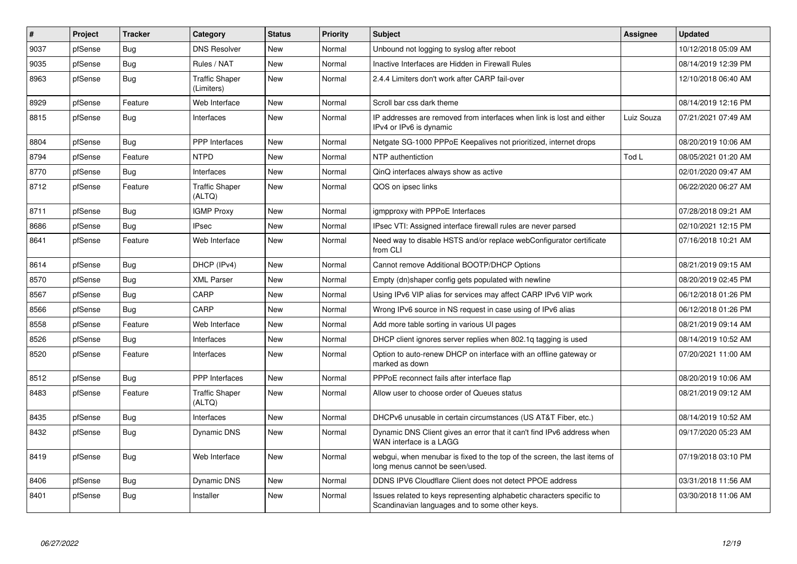| $\vert$ # | <b>Project</b> | <b>Tracker</b> | Category                            | <b>Status</b> | <b>Priority</b> | <b>Subject</b>                                                                                                          | Assignee   | <b>Updated</b>      |
|-----------|----------------|----------------|-------------------------------------|---------------|-----------------|-------------------------------------------------------------------------------------------------------------------------|------------|---------------------|
| 9037      | pfSense        | <b>Bug</b>     | <b>DNS Resolver</b>                 | New           | Normal          | Unbound not logging to syslog after reboot                                                                              |            | 10/12/2018 05:09 AM |
| 9035      | pfSense        | Bug            | Rules / NAT                         | New           | Normal          | Inactive Interfaces are Hidden in Firewall Rules                                                                        |            | 08/14/2019 12:39 PM |
| 8963      | pfSense        | <b>Bug</b>     | <b>Traffic Shaper</b><br>(Limiters) | New           | Normal          | 2.4.4 Limiters don't work after CARP fail-over                                                                          |            | 12/10/2018 06:40 AM |
| 8929      | pfSense        | Feature        | Web Interface                       | New           | Normal          | Scroll bar css dark theme                                                                                               |            | 08/14/2019 12:16 PM |
| 8815      | pfSense        | Bug            | Interfaces                          | New           | Normal          | IP addresses are removed from interfaces when link is lost and either<br>IPv4 or IPv6 is dynamic                        | Luiz Souza | 07/21/2021 07:49 AM |
| 8804      | pfSense        | <b>Bug</b>     | <b>PPP</b> Interfaces               | New           | Normal          | Netgate SG-1000 PPPoE Keepalives not prioritized, internet drops                                                        |            | 08/20/2019 10:06 AM |
| 8794      | pfSense        | Feature        | <b>NTPD</b>                         | New           | Normal          | NTP authentiction                                                                                                       | Tod L      | 08/05/2021 01:20 AM |
| 8770      | pfSense        | Bug            | Interfaces                          | New           | Normal          | QinQ interfaces always show as active                                                                                   |            | 02/01/2020 09:47 AM |
| 8712      | pfSense        | Feature        | <b>Traffic Shaper</b><br>(ALTQ)     | <b>New</b>    | Normal          | QOS on ipsec links                                                                                                      |            | 06/22/2020 06:27 AM |
| 8711      | pfSense        | Bug            | <b>IGMP Proxy</b>                   | New           | Normal          | igmpproxy with PPPoE Interfaces                                                                                         |            | 07/28/2018 09:21 AM |
| 8686      | pfSense        | Bug            | <b>IPsec</b>                        | <b>New</b>    | Normal          | IPsec VTI: Assigned interface firewall rules are never parsed                                                           |            | 02/10/2021 12:15 PM |
| 8641      | pfSense        | Feature        | Web Interface                       | New           | Normal          | Need way to disable HSTS and/or replace webConfigurator certificate<br>from CLI                                         |            | 07/16/2018 10:21 AM |
| 8614      | pfSense        | Bug            | DHCP (IPv4)                         | <b>New</b>    | Normal          | Cannot remove Additional BOOTP/DHCP Options                                                                             |            | 08/21/2019 09:15 AM |
| 8570      | pfSense        | Bug            | <b>XML Parser</b>                   | New           | Normal          | Empty (dn)shaper config gets populated with newline                                                                     |            | 08/20/2019 02:45 PM |
| 8567      | pfSense        | Bug            | CARP                                | New           | Normal          | Using IPv6 VIP alias for services may affect CARP IPv6 VIP work                                                         |            | 06/12/2018 01:26 PM |
| 8566      | pfSense        | Bug            | CARP                                | <b>New</b>    | Normal          | Wrong IPv6 source in NS request in case using of IPv6 alias                                                             |            | 06/12/2018 01:26 PM |
| 8558      | pfSense        | Feature        | Web Interface                       | New           | Normal          | Add more table sorting in various UI pages                                                                              |            | 08/21/2019 09:14 AM |
| 8526      | pfSense        | Bug            | Interfaces                          | New           | Normal          | DHCP client ignores server replies when 802.1g tagging is used                                                          |            | 08/14/2019 10:52 AM |
| 8520      | pfSense        | Feature        | Interfaces                          | New           | Normal          | Option to auto-renew DHCP on interface with an offline gateway or<br>marked as down                                     |            | 07/20/2021 11:00 AM |
| 8512      | pfSense        | Bug            | <b>PPP</b> Interfaces               | New           | Normal          | PPPoE reconnect fails after interface flap                                                                              |            | 08/20/2019 10:06 AM |
| 8483      | pfSense        | Feature        | <b>Traffic Shaper</b><br>(ALTQ)     | New           | Normal          | Allow user to choose order of Queues status                                                                             |            | 08/21/2019 09:12 AM |
| 8435      | pfSense        | <b>Bug</b>     | Interfaces                          | New           | Normal          | DHCPv6 unusable in certain circumstances (US AT&T Fiber, etc.)                                                          |            | 08/14/2019 10:52 AM |
| 8432      | pfSense        | Bug            | Dynamic DNS                         | <b>New</b>    | Normal          | Dynamic DNS Client gives an error that it can't find IPv6 address when<br>WAN interface is a LAGG                       |            | 09/17/2020 05:23 AM |
| 8419      | pfSense        | Bug            | Web Interface                       | New           | Normal          | webgui, when menubar is fixed to the top of the screen, the last items of<br>long menus cannot be seen/used.            |            | 07/19/2018 03:10 PM |
| 8406      | pfSense        | Bug            | <b>Dynamic DNS</b>                  | New           | Normal          | DDNS IPV6 Cloudflare Client does not detect PPOE address                                                                |            | 03/31/2018 11:56 AM |
| 8401      | pfSense        | <b>Bug</b>     | Installer                           | New           | Normal          | Issues related to keys representing alphabetic characters specific to<br>Scandinavian languages and to some other keys. |            | 03/30/2018 11:06 AM |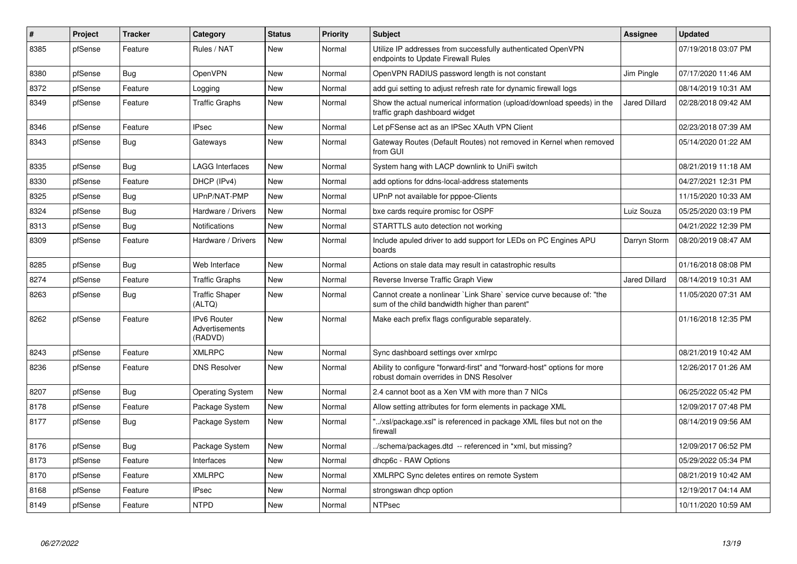| $\vert$ # | <b>Project</b> | <b>Tracker</b> | Category                                 | <b>Status</b> | <b>Priority</b> | <b>Subject</b>                                                                                                          | <b>Assignee</b>      | <b>Updated</b>      |
|-----------|----------------|----------------|------------------------------------------|---------------|-----------------|-------------------------------------------------------------------------------------------------------------------------|----------------------|---------------------|
| 8385      | pfSense        | Feature        | Rules / NAT                              | <b>New</b>    | Normal          | Utilize IP addresses from successfully authenticated OpenVPN<br>endpoints to Update Firewall Rules                      |                      | 07/19/2018 03:07 PM |
| 8380      | pfSense        | Bug            | <b>OpenVPN</b>                           | New           | Normal          | OpenVPN RADIUS password length is not constant                                                                          | Jim Pingle           | 07/17/2020 11:46 AM |
| 8372      | pfSense        | Feature        | Logging                                  | <b>New</b>    | Normal          | add gui setting to adjust refresh rate for dynamic firewall logs                                                        |                      | 08/14/2019 10:31 AM |
| 8349      | pfSense        | Feature        | <b>Traffic Graphs</b>                    | New           | Normal          | Show the actual numerical information (upload/download speeds) in the<br>traffic graph dashboard widget                 | <b>Jared Dillard</b> | 02/28/2018 09:42 AM |
| 8346      | pfSense        | Feature        | <b>IPsec</b>                             | New           | Normal          | Let pFSense act as an IPSec XAuth VPN Client                                                                            |                      | 02/23/2018 07:39 AM |
| 8343      | pfSense        | Bug            | Gateways                                 | <b>New</b>    | Normal          | Gateway Routes (Default Routes) not removed in Kernel when removed<br>from GUI                                          |                      | 05/14/2020 01:22 AM |
| 8335      | pfSense        | Bug            | <b>LAGG Interfaces</b>                   | <b>New</b>    | Normal          | System hang with LACP downlink to UniFi switch                                                                          |                      | 08/21/2019 11:18 AM |
| 8330      | pfSense        | Feature        | DHCP (IPv4)                              | <b>New</b>    | Normal          | add options for ddns-local-address statements                                                                           |                      | 04/27/2021 12:31 PM |
| 8325      | pfSense        | <b>Bug</b>     | UPnP/NAT-PMP                             | New           | Normal          | UPnP not available for pppoe-Clients                                                                                    |                      | 11/15/2020 10:33 AM |
| 8324      | pfSense        | Bug            | Hardware / Drivers                       | <b>New</b>    | Normal          | bxe cards require promisc for OSPF                                                                                      | Luiz Souza           | 05/25/2020 03:19 PM |
| 8313      | pfSense        | <b>Bug</b>     | Notifications                            | <b>New</b>    | Normal          | STARTTLS auto detection not working                                                                                     |                      | 04/21/2022 12:39 PM |
| 8309      | pfSense        | Feature        | Hardware / Drivers                       | New           | Normal          | Include apuled driver to add support for LEDs on PC Engines APU<br>boards                                               | Darryn Storm         | 08/20/2019 08:47 AM |
| 8285      | pfSense        | <b>Bug</b>     | Web Interface                            | <b>New</b>    | Normal          | Actions on stale data may result in catastrophic results                                                                |                      | 01/16/2018 08:08 PM |
| 8274      | pfSense        | Feature        | Traffic Graphs                           | New           | Normal          | Reverse Inverse Traffic Graph View                                                                                      | Jared Dillard        | 08/14/2019 10:31 AM |
| 8263      | pfSense        | Bug            | <b>Traffic Shaper</b><br>(ALTQ)          | New           | Normal          | Cannot create a nonlinear `Link Share` service curve because of: "the<br>sum of the child bandwidth higher than parent" |                      | 11/05/2020 07:31 AM |
| 8262      | pfSense        | Feature        | IPv6 Router<br>Advertisements<br>(RADVD) | <b>New</b>    | Normal          | Make each prefix flags configurable separately.                                                                         |                      | 01/16/2018 12:35 PM |
| 8243      | pfSense        | Feature        | <b>XMLRPC</b>                            | New           | Normal          | Sync dashboard settings over xmlrpc                                                                                     |                      | 08/21/2019 10:42 AM |
| 8236      | pfSense        | Feature        | <b>DNS Resolver</b>                      | New           | Normal          | Ability to configure "forward-first" and "forward-host" options for more<br>robust domain overrides in DNS Resolver     |                      | 12/26/2017 01:26 AM |
| 8207      | pfSense        | <b>Bug</b>     | Operating System                         | New           | Normal          | 2.4 cannot boot as a Xen VM with more than 7 NICs                                                                       |                      | 06/25/2022 05:42 PM |
| 8178      | pfSense        | Feature        | Package System                           | New           | Normal          | Allow setting attributes for form elements in package XML                                                               |                      | 12/09/2017 07:48 PM |
| 8177      | pfSense        | Bug            | Package System                           | <b>New</b>    | Normal          | "/xsl/package.xsl" is referenced in package XML files but not on the<br>firewall                                        |                      | 08/14/2019 09:56 AM |
| 8176      | pfSense        | Bug            | Package System                           | New           | Normal          | ./schema/packages.dtd -- referenced in *xml, but missing?                                                               |                      | 12/09/2017 06:52 PM |
| 8173      | pfSense        | Feature        | Interfaces                               | <b>New</b>    | Normal          | dhcp6c - RAW Options                                                                                                    |                      | 05/29/2022 05:34 PM |
| 8170      | pfSense        | Feature        | <b>XMLRPC</b>                            | New           | Normal          | XMLRPC Sync deletes entires on remote System                                                                            |                      | 08/21/2019 10:42 AM |
| 8168      | pfSense        | Feature        | <b>IPsec</b>                             | New           | Normal          | strongswan dhcp option                                                                                                  |                      | 12/19/2017 04:14 AM |
| 8149      | pfSense        | Feature        | <b>NTPD</b>                              | <b>New</b>    | Normal          | <b>NTPsec</b>                                                                                                           |                      | 10/11/2020 10:59 AM |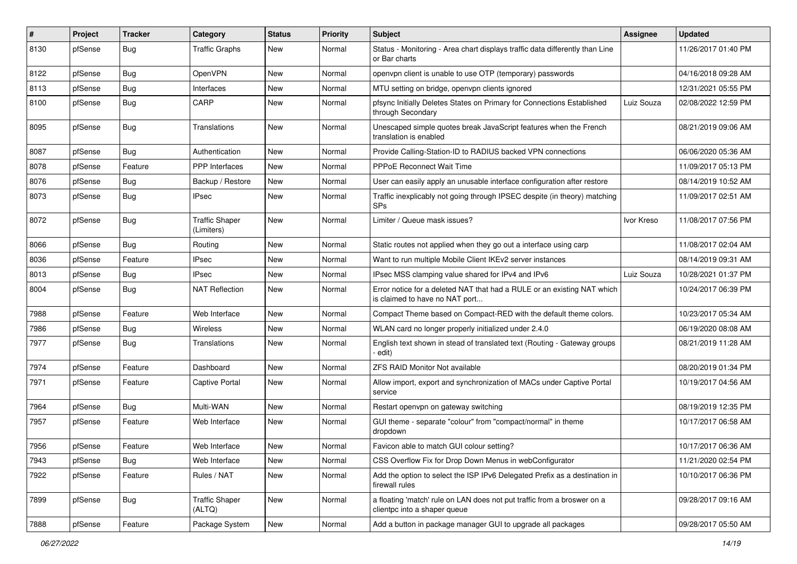| #    | Project | <b>Tracker</b> | Category                            | <b>Status</b> | <b>Priority</b> | Subject                                                                                                   | <b>Assignee</b> | <b>Updated</b>      |
|------|---------|----------------|-------------------------------------|---------------|-----------------|-----------------------------------------------------------------------------------------------------------|-----------------|---------------------|
| 8130 | pfSense | Bug            | <b>Traffic Graphs</b>               | New           | Normal          | Status - Monitoring - Area chart displays traffic data differently than Line<br>or Bar charts             |                 | 11/26/2017 01:40 PM |
| 8122 | pfSense | Bug            | OpenVPN                             | <b>New</b>    | Normal          | openypn client is unable to use OTP (temporary) passwords                                                 |                 | 04/16/2018 09:28 AM |
| 8113 | pfSense | <b>Bug</b>     | Interfaces                          | New           | Normal          | MTU setting on bridge, openvpn clients ignored                                                            |                 | 12/31/2021 05:55 PM |
| 8100 | pfSense | Bug            | CARP                                | New           | Normal          | pfsync Initially Deletes States on Primary for Connections Established<br>through Secondary               | Luiz Souza      | 02/08/2022 12:59 PM |
| 8095 | pfSense | Bug            | Translations                        | New           | Normal          | Unescaped simple quotes break JavaScript features when the French<br>translation is enabled               |                 | 08/21/2019 09:06 AM |
| 8087 | pfSense | Bug            | Authentication                      | <b>New</b>    | Normal          | Provide Calling-Station-ID to RADIUS backed VPN connections                                               |                 | 06/06/2020 05:36 AM |
| 8078 | pfSense | Feature        | <b>PPP</b> Interfaces               | <b>New</b>    | Normal          | <b>PPPoE Reconnect Wait Time</b>                                                                          |                 | 11/09/2017 05:13 PM |
| 8076 | pfSense | Bug            | Backup / Restore                    | New           | Normal          | User can easily apply an unusable interface configuration after restore                                   |                 | 08/14/2019 10:52 AM |
| 8073 | pfSense | Bug            | IPsec                               | New           | Normal          | Traffic inexplicably not going through IPSEC despite (in theory) matching<br><b>SPs</b>                   |                 | 11/09/2017 02:51 AM |
| 8072 | pfSense | Bug            | <b>Traffic Shaper</b><br>(Limiters) | <b>New</b>    | Normal          | Limiter / Queue mask issues?                                                                              | Ivor Kreso      | 11/08/2017 07:56 PM |
| 8066 | pfSense | <b>Bug</b>     | Routing                             | <b>New</b>    | Normal          | Static routes not applied when they go out a interface using carp                                         |                 | 11/08/2017 02:04 AM |
| 8036 | pfSense | Feature        | IPsec                               | New           | Normal          | Want to run multiple Mobile Client IKEv2 server instances                                                 |                 | 08/14/2019 09:31 AM |
| 8013 | pfSense | <b>Bug</b>     | <b>IPsec</b>                        | New           | Normal          | IPsec MSS clamping value shared for IPv4 and IPv6                                                         | Luiz Souza      | 10/28/2021 01:37 PM |
| 8004 | pfSense | Bug            | <b>NAT Reflection</b>               | New           | Normal          | Error notice for a deleted NAT that had a RULE or an existing NAT which<br>is claimed to have no NAT port |                 | 10/24/2017 06:39 PM |
| 7988 | pfSense | Feature        | Web Interface                       | New           | Normal          | Compact Theme based on Compact-RED with the default theme colors.                                         |                 | 10/23/2017 05:34 AM |
| 7986 | pfSense | Bug            | Wireless                            | New           | Normal          | WLAN card no longer properly initialized under 2.4.0                                                      |                 | 06/19/2020 08:08 AM |
| 7977 | pfSense | Bug            | Translations                        | New           | Normal          | English text shown in stead of translated text (Routing - Gateway groups<br>edit)                         |                 | 08/21/2019 11:28 AM |
| 7974 | pfSense | Feature        | Dashboard                           | <b>New</b>    | Normal          | <b>ZFS RAID Monitor Not available</b>                                                                     |                 | 08/20/2019 01:34 PM |
| 7971 | pfSense | Feature        | Captive Portal                      | New           | Normal          | Allow import, export and synchronization of MACs under Captive Portal<br>service                          |                 | 10/19/2017 04:56 AM |
| 7964 | pfSense | <b>Bug</b>     | Multi-WAN                           | <b>New</b>    | Normal          | Restart openvpn on gateway switching                                                                      |                 | 08/19/2019 12:35 PM |
| 7957 | pfSense | Feature        | Web Interface                       | New           | Normal          | GUI theme - separate "colour" from "compact/normal" in theme<br>dropdown                                  |                 | 10/17/2017 06:58 AM |
| 7956 | pfSense | Feature        | Web Interface                       | New           | Normal          | Favicon able to match GUI colour setting?                                                                 |                 | 10/17/2017 06:36 AM |
| 7943 | pfSense | Bug            | Web Interface                       | New           | Normal          | CSS Overflow Fix for Drop Down Menus in webConfigurator                                                   |                 | 11/21/2020 02:54 PM |
| 7922 | pfSense | Feature        | Rules / NAT                         | New           | Normal          | Add the option to select the ISP IPv6 Delegated Prefix as a destination in<br>firewall rules              |                 | 10/10/2017 06:36 PM |
| 7899 | pfSense | Bug            | <b>Traffic Shaper</b><br>(ALTQ)     | New           | Normal          | a floating 'match' rule on LAN does not put traffic from a broswer on a<br>clientpc into a shaper queue   |                 | 09/28/2017 09:16 AM |
| 7888 | pfSense | Feature        | Package System                      | New           | Normal          | Add a button in package manager GUI to upgrade all packages                                               |                 | 09/28/2017 05:50 AM |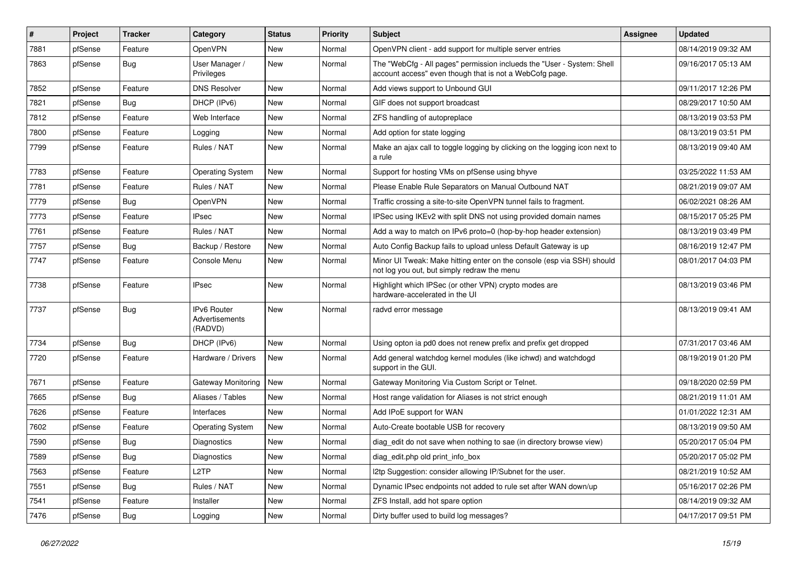| $\vert$ # | Project | <b>Tracker</b> | Category                                        | <b>Status</b> | <b>Priority</b> | Subject                                                                                                                           | <b>Assignee</b> | <b>Updated</b>      |
|-----------|---------|----------------|-------------------------------------------------|---------------|-----------------|-----------------------------------------------------------------------------------------------------------------------------------|-----------------|---------------------|
| 7881      | pfSense | Feature        | OpenVPN                                         | New           | Normal          | OpenVPN client - add support for multiple server entries                                                                          |                 | 08/14/2019 09:32 AM |
| 7863      | pfSense | Bug            | User Manager /<br>Privileges                    | <b>New</b>    | Normal          | The "WebCfg - All pages" permission inclueds the "User - System: Shell<br>account access" even though that is not a WebCofg page. |                 | 09/16/2017 05:13 AM |
| 7852      | pfSense | Feature        | <b>DNS Resolver</b>                             | New           | Normal          | Add views support to Unbound GUI                                                                                                  |                 | 09/11/2017 12:26 PM |
| 7821      | pfSense | Bug            | DHCP (IPv6)                                     | <b>New</b>    | Normal          | GIF does not support broadcast                                                                                                    |                 | 08/29/2017 10:50 AM |
| 7812      | pfSense | Feature        | Web Interface                                   | New           | Normal          | ZFS handling of autopreplace                                                                                                      |                 | 08/13/2019 03:53 PM |
| 7800      | pfSense | Feature        | Logging                                         | New           | Normal          | Add option for state logging                                                                                                      |                 | 08/13/2019 03:51 PM |
| 7799      | pfSense | Feature        | Rules / NAT                                     | <b>New</b>    | Normal          | Make an ajax call to toggle logging by clicking on the logging icon next to<br>a rule                                             |                 | 08/13/2019 09:40 AM |
| 7783      | pfSense | Feature        | <b>Operating System</b>                         | New           | Normal          | Support for hosting VMs on pfSense using bhyve                                                                                    |                 | 03/25/2022 11:53 AM |
| 7781      | pfSense | Feature        | Rules / NAT                                     | New           | Normal          | Please Enable Rule Separators on Manual Outbound NAT                                                                              |                 | 08/21/2019 09:07 AM |
| 7779      | pfSense | Bug            | OpenVPN                                         | New           | Normal          | Traffic crossing a site-to-site OpenVPN tunnel fails to fragment.                                                                 |                 | 06/02/2021 08:26 AM |
| 7773      | pfSense | Feature        | <b>IPsec</b>                                    | <b>New</b>    | Normal          | IPSec using IKEv2 with split DNS not using provided domain names                                                                  |                 | 08/15/2017 05:25 PM |
| 7761      | pfSense | Feature        | Rules / NAT                                     | New           | Normal          | Add a way to match on IPv6 proto=0 (hop-by-hop header extension)                                                                  |                 | 08/13/2019 03:49 PM |
| 7757      | pfSense | Bug            | Backup / Restore                                | <b>New</b>    | Normal          | Auto Config Backup fails to upload unless Default Gateway is up                                                                   |                 | 08/16/2019 12:47 PM |
| 7747      | pfSense | Feature        | Console Menu                                    | <b>New</b>    | Normal          | Minor UI Tweak: Make hitting enter on the console (esp via SSH) should<br>not log you out, but simply redraw the menu             |                 | 08/01/2017 04:03 PM |
| 7738      | pfSense | Feature        | <b>IPsec</b>                                    | New           | Normal          | Highlight which IPSec (or other VPN) crypto modes are<br>hardware-accelerated in the UI                                           |                 | 08/13/2019 03:46 PM |
| 7737      | pfSense | Bug            | <b>IPv6 Router</b><br>Advertisements<br>(RADVD) | New           | Normal          | radvd error message                                                                                                               |                 | 08/13/2019 09:41 AM |
| 7734      | pfSense | Bug            | DHCP (IPv6)                                     | New           | Normal          | Using opton ia pd0 does not renew prefix and prefix get dropped                                                                   |                 | 07/31/2017 03:46 AM |
| 7720      | pfSense | Feature        | Hardware / Drivers                              | New           | Normal          | Add general watchdog kernel modules (like ichwd) and watchdogd<br>support in the GUI.                                             |                 | 08/19/2019 01:20 PM |
| 7671      | pfSense | Feature        | Gateway Monitoring                              | <b>New</b>    | Normal          | Gateway Monitoring Via Custom Script or Telnet.                                                                                   |                 | 09/18/2020 02:59 PM |
| 7665      | pfSense | Bug            | Aliases / Tables                                | New           | Normal          | Host range validation for Aliases is not strict enough                                                                            |                 | 08/21/2019 11:01 AM |
| 7626      | pfSense | Feature        | Interfaces                                      | <b>New</b>    | Normal          | Add IPoE support for WAN                                                                                                          |                 | 01/01/2022 12:31 AM |
| 7602      | pfSense | Feature        | <b>Operating System</b>                         | <b>New</b>    | Normal          | Auto-Create bootable USB for recovery                                                                                             |                 | 08/13/2019 09:50 AM |
| 7590      | pfSense | <b>Bug</b>     | <b>Diagnostics</b>                              | New           | Normal          | diag edit do not save when nothing to sae (in directory browse view)                                                              |                 | 05/20/2017 05:04 PM |
| 7589      | pfSense | Bug            | Diagnostics                                     | New           | Normal          | diag_edit.php old print_info_box                                                                                                  |                 | 05/20/2017 05:02 PM |
| 7563      | pfSense | Feature        | L <sub>2</sub> TP                               | <b>New</b>    | Normal          | I2tp Suggestion: consider allowing IP/Subnet for the user.                                                                        |                 | 08/21/2019 10:52 AM |
| 7551      | pfSense | <b>Bug</b>     | Rules / NAT                                     | New           | Normal          | Dynamic IPsec endpoints not added to rule set after WAN down/up                                                                   |                 | 05/16/2017 02:26 PM |
| 7541      | pfSense | Feature        | Installer                                       | New           | Normal          | ZFS Install, add hot spare option                                                                                                 |                 | 08/14/2019 09:32 AM |
| 7476      | pfSense | <b>Bug</b>     | Logging                                         | New           | Normal          | Dirty buffer used to build log messages?                                                                                          |                 | 04/17/2017 09:51 PM |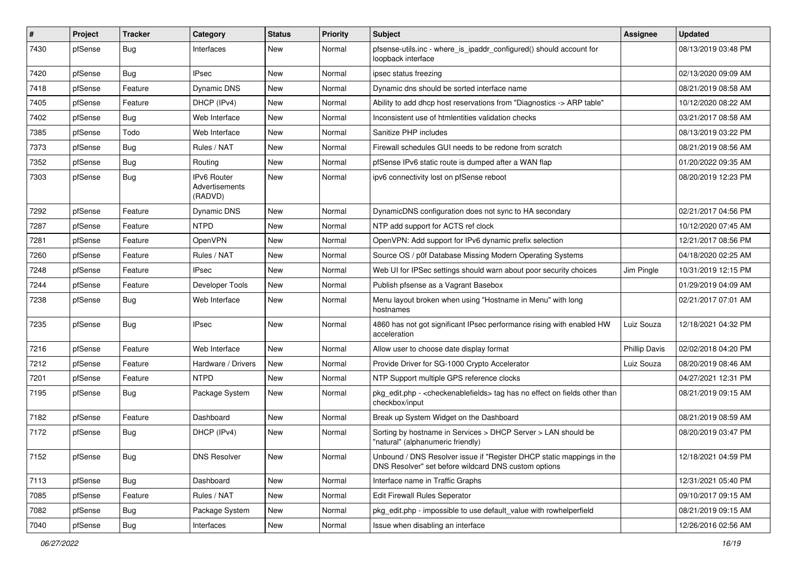| $\sharp$ | Project | <b>Tracker</b> | Category                                        | <b>Status</b> | <b>Priority</b> | Subject                                                                                                                       | Assignee             | <b>Updated</b>      |
|----------|---------|----------------|-------------------------------------------------|---------------|-----------------|-------------------------------------------------------------------------------------------------------------------------------|----------------------|---------------------|
| 7430     | pfSense | <b>Bug</b>     | Interfaces                                      | New           | Normal          | pfsense-utils.inc - where_is_ipaddr_configured() should account for<br>loopback interface                                     |                      | 08/13/2019 03:48 PM |
| 7420     | pfSense | Bug            | <b>IPsec</b>                                    | New           | Normal          | ipsec status freezing                                                                                                         |                      | 02/13/2020 09:09 AM |
| 7418     | pfSense | Feature        | <b>Dynamic DNS</b>                              | New           | Normal          | Dynamic dns should be sorted interface name                                                                                   |                      | 08/21/2019 08:58 AM |
| 7405     | pfSense | Feature        | DHCP (IPv4)                                     | New           | Normal          | Ability to add dhcp host reservations from "Diagnostics -> ARP table"                                                         |                      | 10/12/2020 08:22 AM |
| 7402     | pfSense | Bug            | Web Interface                                   | New           | Normal          | Inconsistent use of htmlentities validation checks                                                                            |                      | 03/21/2017 08:58 AM |
| 7385     | pfSense | Todo           | Web Interface                                   | New           | Normal          | Sanitize PHP includes                                                                                                         |                      | 08/13/2019 03:22 PM |
| 7373     | pfSense | Bug            | Rules / NAT                                     | New           | Normal          | Firewall schedules GUI needs to be redone from scratch                                                                        |                      | 08/21/2019 08:56 AM |
| 7352     | pfSense | Bug            | Routing                                         | New           | Normal          | pfSense IPv6 static route is dumped after a WAN flap                                                                          |                      | 01/20/2022 09:35 AM |
| 7303     | pfSense | <b>Bug</b>     | <b>IPv6 Router</b><br>Advertisements<br>(RADVD) | <b>New</b>    | Normal          | ipv6 connectivity lost on pfSense reboot                                                                                      |                      | 08/20/2019 12:23 PM |
| 7292     | pfSense | Feature        | <b>Dynamic DNS</b>                              | New           | Normal          | DynamicDNS configuration does not sync to HA secondary                                                                        |                      | 02/21/2017 04:56 PM |
| 7287     | pfSense | Feature        | <b>NTPD</b>                                     | New           | Normal          | NTP add support for ACTS ref clock                                                                                            |                      | 10/12/2020 07:45 AM |
| 7281     | pfSense | Feature        | OpenVPN                                         | New           | Normal          | OpenVPN: Add support for IPv6 dynamic prefix selection                                                                        |                      | 12/21/2017 08:56 PM |
| 7260     | pfSense | Feature        | Rules / NAT                                     | <b>New</b>    | Normal          | Source OS / p0f Database Missing Modern Operating Systems                                                                     |                      | 04/18/2020 02:25 AM |
| 7248     | pfSense | Feature        | <b>IPsec</b>                                    | New           | Normal          | Web UI for IPSec settings should warn about poor security choices                                                             | Jim Pingle           | 10/31/2019 12:15 PM |
| 7244     | pfSense | Feature        | Developer Tools                                 | New           | Normal          | Publish pfsense as a Vagrant Basebox                                                                                          |                      | 01/29/2019 04:09 AM |
| 7238     | pfSense | Bug            | Web Interface                                   | New           | Normal          | Menu layout broken when using "Hostname in Menu" with long<br>hostnames                                                       |                      | 02/21/2017 07:01 AM |
| 7235     | pfSense | Bug            | <b>IPsec</b>                                    | New           | Normal          | 4860 has not got significant IPsec performance rising with enabled HW<br>acceleration                                         | Luiz Souza           | 12/18/2021 04:32 PM |
| 7216     | pfSense | Feature        | Web Interface                                   | New           | Normal          | Allow user to choose date display format                                                                                      | <b>Phillip Davis</b> | 02/02/2018 04:20 PM |
| 7212     | pfSense | Feature        | Hardware / Drivers                              | <b>New</b>    | Normal          | Provide Driver for SG-1000 Crypto Accelerator                                                                                 | Luiz Souza           | 08/20/2019 08:46 AM |
| 7201     | pfSense | Feature        | <b>NTPD</b>                                     | New           | Normal          | NTP Support multiple GPS reference clocks                                                                                     |                      | 04/27/2021 12:31 PM |
| 7195     | pfSense | <b>Bug</b>     | Package System                                  | <b>New</b>    | Normal          | pkg_edit.php - <checkenablefields> tag has no effect on fields other than<br/>checkbox/input</checkenablefields>              |                      | 08/21/2019 09:15 AM |
| 7182     | pfSense | Feature        | Dashboard                                       | New           | Normal          | Break up System Widget on the Dashboard                                                                                       |                      | 08/21/2019 08:59 AM |
| 7172     | pfSense | <b>Bug</b>     | DHCP (IPv4)                                     | New           | Normal          | Sorting by hostname in Services > DHCP Server > LAN should be<br>"natural" (alphanumeric friendly)                            |                      | 08/20/2019 03:47 PM |
| 7152     | pfSense | <b>Bug</b>     | <b>DNS Resolver</b>                             | New           | Normal          | Unbound / DNS Resolver issue if "Register DHCP static mappings in the<br>DNS Resolver" set before wildcard DNS custom options |                      | 12/18/2021 04:59 PM |
| 7113     | pfSense | <b>Bug</b>     | Dashboard                                       | New           | Normal          | Interface name in Traffic Graphs                                                                                              |                      | 12/31/2021 05:40 PM |
| 7085     | pfSense | Feature        | Rules / NAT                                     | New           | Normal          | Edit Firewall Rules Seperator                                                                                                 |                      | 09/10/2017 09:15 AM |
| 7082     | pfSense | Bug            | Package System                                  | New           | Normal          | pkg edit.php - impossible to use default value with rowhelperfield                                                            |                      | 08/21/2019 09:15 AM |
| 7040     | pfSense | Bug            | Interfaces                                      | New           | Normal          | Issue when disabling an interface                                                                                             |                      | 12/26/2016 02:56 AM |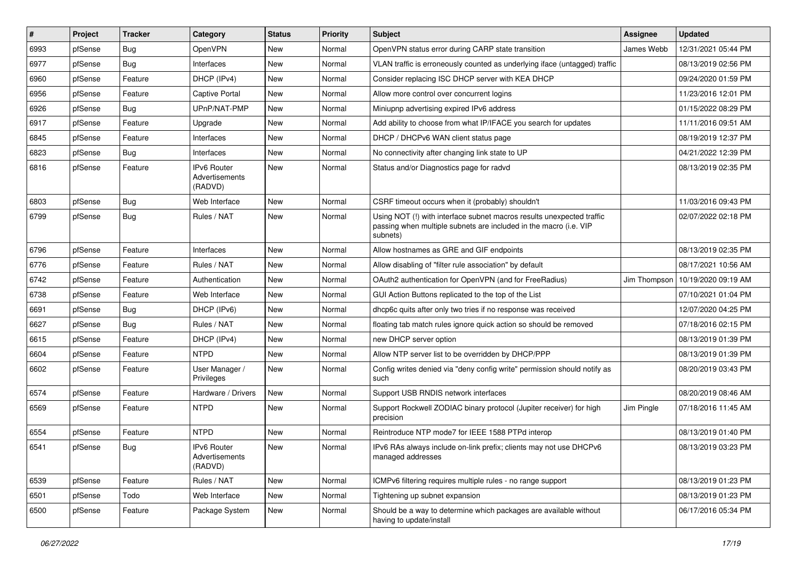| ∦    | Project | <b>Tracker</b> | Category                                 | <b>Status</b> | <b>Priority</b> | <b>Subject</b>                                                                                                                                         | <b>Assignee</b> | <b>Updated</b>      |
|------|---------|----------------|------------------------------------------|---------------|-----------------|--------------------------------------------------------------------------------------------------------------------------------------------------------|-----------------|---------------------|
| 6993 | pfSense | <b>Bug</b>     | OpenVPN                                  | New           | Normal          | OpenVPN status error during CARP state transition                                                                                                      | James Webb      | 12/31/2021 05:44 PM |
| 6977 | pfSense | Bug            | Interfaces                               | New           | Normal          | VLAN traffic is erroneously counted as underlying iface (untagged) traffic                                                                             |                 | 08/13/2019 02:56 PM |
| 6960 | pfSense | Feature        | DHCP (IPv4)                              | New           | Normal          | Consider replacing ISC DHCP server with KEA DHCP                                                                                                       |                 | 09/24/2020 01:59 PM |
| 6956 | pfSense | Feature        | <b>Captive Portal</b>                    | New           | Normal          | Allow more control over concurrent logins                                                                                                              |                 | 11/23/2016 12:01 PM |
| 6926 | pfSense | Bug            | UPnP/NAT-PMP                             | New           | Normal          | Miniupnp advertising expired IPv6 address                                                                                                              |                 | 01/15/2022 08:29 PM |
| 6917 | pfSense | Feature        | Upgrade                                  | New           | Normal          | Add ability to choose from what IP/IFACE you search for updates                                                                                        |                 | 11/11/2016 09:51 AM |
| 6845 | pfSense | Feature        | Interfaces                               | New           | Normal          | DHCP / DHCPv6 WAN client status page                                                                                                                   |                 | 08/19/2019 12:37 PM |
| 6823 | pfSense | Bug            | Interfaces                               | New           | Normal          | No connectivity after changing link state to UP                                                                                                        |                 | 04/21/2022 12:39 PM |
| 6816 | pfSense | Feature        | IPv6 Router<br>Advertisements<br>(RADVD) | New           | Normal          | Status and/or Diagnostics page for radvd                                                                                                               |                 | 08/13/2019 02:35 PM |
| 6803 | pfSense | Bug            | Web Interface                            | New           | Normal          | CSRF timeout occurs when it (probably) shouldn't                                                                                                       |                 | 11/03/2016 09:43 PM |
| 6799 | pfSense | Bug            | Rules / NAT                              | New           | Normal          | Using NOT (!) with interface subnet macros results unexpected traffic<br>passing when multiple subnets are included in the macro (i.e. VIP<br>subnets) |                 | 02/07/2022 02:18 PM |
| 6796 | pfSense | Feature        | Interfaces                               | <b>New</b>    | Normal          | Allow hostnames as GRE and GIF endpoints                                                                                                               |                 | 08/13/2019 02:35 PM |
| 6776 | pfSense | Feature        | Rules / NAT                              | New           | Normal          | Allow disabling of "filter rule association" by default                                                                                                |                 | 08/17/2021 10:56 AM |
| 6742 | pfSense | Feature        | Authentication                           | New           | Normal          | OAuth2 authentication for OpenVPN (and for FreeRadius)                                                                                                 | Jim Thompson    | 10/19/2020 09:19 AM |
| 6738 | pfSense | Feature        | Web Interface                            | New           | Normal          | GUI Action Buttons replicated to the top of the List                                                                                                   |                 | 07/10/2021 01:04 PM |
| 6691 | pfSense | Bug            | DHCP (IPv6)                              | New           | Normal          | dhcp6c quits after only two tries if no response was received                                                                                          |                 | 12/07/2020 04:25 PM |
| 6627 | pfSense | Bug            | Rules / NAT                              | New           | Normal          | floating tab match rules ignore quick action so should be removed                                                                                      |                 | 07/18/2016 02:15 PM |
| 6615 | pfSense | Feature        | DHCP (IPv4)                              | New           | Normal          | new DHCP server option                                                                                                                                 |                 | 08/13/2019 01:39 PM |
| 6604 | pfSense | Feature        | <b>NTPD</b>                              | New           | Normal          | Allow NTP server list to be overridden by DHCP/PPP                                                                                                     |                 | 08/13/2019 01:39 PM |
| 6602 | pfSense | Feature        | User Manager /<br>Privileges             | New           | Normal          | Config writes denied via "deny config write" permission should notify as<br>such                                                                       |                 | 08/20/2019 03:43 PM |
| 6574 | pfSense | Feature        | Hardware / Drivers                       | New           | Normal          | Support USB RNDIS network interfaces                                                                                                                   |                 | 08/20/2019 08:46 AM |
| 6569 | pfSense | Feature        | <b>NTPD</b>                              | New           | Normal          | Support Rockwell ZODIAC binary protocol (Jupiter receiver) for high<br>precision                                                                       | Jim Pingle      | 07/18/2016 11:45 AM |
| 6554 | pfSense | Feature        | <b>NTPD</b>                              | New           | Normal          | Reintroduce NTP mode7 for IEEE 1588 PTPd interop                                                                                                       |                 | 08/13/2019 01:40 PM |
| 6541 | pfSense | Bug            | IPv6 Router<br>Advertisements<br>(RADVD) | New           | Normal          | IPv6 RAs always include on-link prefix; clients may not use DHCPv6<br>managed addresses                                                                |                 | 08/13/2019 03:23 PM |
| 6539 | pfSense | Feature        | Rules / NAT                              | New           | Normal          | ICMPv6 filtering requires multiple rules - no range support                                                                                            |                 | 08/13/2019 01:23 PM |
| 6501 | pfSense | Todo           | Web Interface                            | New           | Normal          | Tightening up subnet expansion                                                                                                                         |                 | 08/13/2019 01:23 PM |
| 6500 | pfSense | Feature        | Package System                           | New           | Normal          | Should be a way to determine which packages are available without<br>having to update/install                                                          |                 | 06/17/2016 05:34 PM |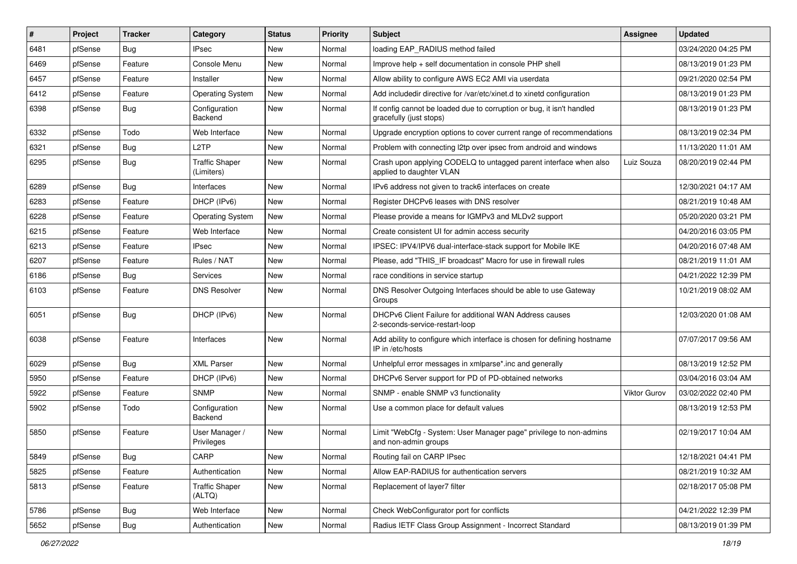| #    | Project | <b>Tracker</b> | Category                            | <b>Status</b> | <b>Priority</b> | <b>Subject</b>                                                                                   | Assignee            | <b>Updated</b>      |
|------|---------|----------------|-------------------------------------|---------------|-----------------|--------------------------------------------------------------------------------------------------|---------------------|---------------------|
| 6481 | pfSense | Bug            | <b>IPsec</b>                        | New           | Normal          | loading EAP_RADIUS method failed                                                                 |                     | 03/24/2020 04:25 PM |
| 6469 | pfSense | Feature        | Console Menu                        | <b>New</b>    | Normal          | Improve help + self documentation in console PHP shell                                           |                     | 08/13/2019 01:23 PM |
| 6457 | pfSense | Feature        | Installer                           | New           | Normal          | Allow ability to configure AWS EC2 AMI via userdata                                              |                     | 09/21/2020 02:54 PM |
| 6412 | pfSense | Feature        | <b>Operating System</b>             | New           | Normal          | Add includedir directive for /var/etc/xinet.d to xinetd configuration                            |                     | 08/13/2019 01:23 PM |
| 6398 | pfSense | <b>Bug</b>     | Configuration<br>Backend            | New           | Normal          | If config cannot be loaded due to corruption or bug, it isn't handled<br>gracefully (just stops) |                     | 08/13/2019 01:23 PM |
| 6332 | pfSense | Todo           | Web Interface                       | <b>New</b>    | Normal          | Upgrade encryption options to cover current range of recommendations                             |                     | 08/13/2019 02:34 PM |
| 6321 | pfSense | Bug            | L <sub>2</sub> TP                   | New           | Normal          | Problem with connecting I2tp over ipsec from android and windows                                 |                     | 11/13/2020 11:01 AM |
| 6295 | pfSense | Bug            | <b>Traffic Shaper</b><br>(Limiters) | New           | Normal          | Crash upon applying CODELQ to untagged parent interface when also<br>applied to daughter VLAN    | Luiz Souza          | 08/20/2019 02:44 PM |
| 6289 | pfSense | Bug            | Interfaces                          | New           | Normal          | IPv6 address not given to track6 interfaces on create                                            |                     | 12/30/2021 04:17 AM |
| 6283 | pfSense | Feature        | DHCP (IPv6)                         | New           | Normal          | Register DHCPv6 leases with DNS resolver                                                         |                     | 08/21/2019 10:48 AM |
| 6228 | pfSense | Feature        | <b>Operating System</b>             | New           | Normal          | Please provide a means for IGMPv3 and MLDv2 support                                              |                     | 05/20/2020 03:21 PM |
| 6215 | pfSense | Feature        | Web Interface                       | New           | Normal          | Create consistent UI for admin access security                                                   |                     | 04/20/2016 03:05 PM |
| 6213 | pfSense | Feature        | <b>IPsec</b>                        | New           | Normal          | IPSEC: IPV4/IPV6 dual-interface-stack support for Mobile IKE                                     |                     | 04/20/2016 07:48 AM |
| 6207 | pfSense | Feature        | Rules / NAT                         | New           | Normal          | Please, add "THIS_IF broadcast" Macro for use in firewall rules                                  |                     | 08/21/2019 11:01 AM |
| 6186 | pfSense | Bug            | Services                            | New           | Normal          | race conditions in service startup                                                               |                     | 04/21/2022 12:39 PM |
| 6103 | pfSense | Feature        | <b>DNS Resolver</b>                 | New           | Normal          | DNS Resolver Outgoing Interfaces should be able to use Gateway<br>Groups                         |                     | 10/21/2019 08:02 AM |
| 6051 | pfSense | <b>Bug</b>     | DHCP (IPv6)                         | New           | Normal          | DHCPv6 Client Failure for additional WAN Address causes<br>2-seconds-service-restart-loop        |                     | 12/03/2020 01:08 AM |
| 6038 | pfSense | Feature        | Interfaces                          | New           | Normal          | Add ability to configure which interface is chosen for defining hostname<br>IP in /etc/hosts     |                     | 07/07/2017 09:56 AM |
| 6029 | pfSense | <b>Bug</b>     | <b>XML Parser</b>                   | <b>New</b>    | Normal          | Unhelpful error messages in xmlparse*.inc and generally                                          |                     | 08/13/2019 12:52 PM |
| 5950 | pfSense | Feature        | DHCP (IPv6)                         | New           | Normal          | DHCPv6 Server support for PD of PD-obtained networks                                             |                     | 03/04/2016 03:04 AM |
| 5922 | pfSense | Feature        | <b>SNMP</b>                         | New           | Normal          | SNMP - enable SNMP v3 functionality                                                              | <b>Viktor Gurov</b> | 03/02/2022 02:40 PM |
| 5902 | pfSense | Todo           | Configuration<br>Backend            | New           | Normal          | Use a common place for default values                                                            |                     | 08/13/2019 12:53 PM |
| 5850 | pfSense | Feature        | User Manager /<br>Privileges        | New           | Normal          | Limit "WebCfg - System: User Manager page" privilege to non-admins<br>and non-admin groups       |                     | 02/19/2017 10:04 AM |
| 5849 | pfSense | <b>Bug</b>     | CARP                                | New           | Normal          | Routing fail on CARP IPsec                                                                       |                     | 12/18/2021 04:41 PM |
| 5825 | pfSense | Feature        | Authentication                      | New           | Normal          | Allow EAP-RADIUS for authentication servers                                                      |                     | 08/21/2019 10:32 AM |
| 5813 | pfSense | Feature        | <b>Traffic Shaper</b><br>(ALTQ)     | New           | Normal          | Replacement of layer7 filter                                                                     |                     | 02/18/2017 05:08 PM |
| 5786 | pfSense | Bug            | Web Interface                       | New           | Normal          | Check WebConfigurator port for conflicts                                                         |                     | 04/21/2022 12:39 PM |
| 5652 | pfSense | Bug            | Authentication                      | New           | Normal          | Radius IETF Class Group Assignment - Incorrect Standard                                          |                     | 08/13/2019 01:39 PM |